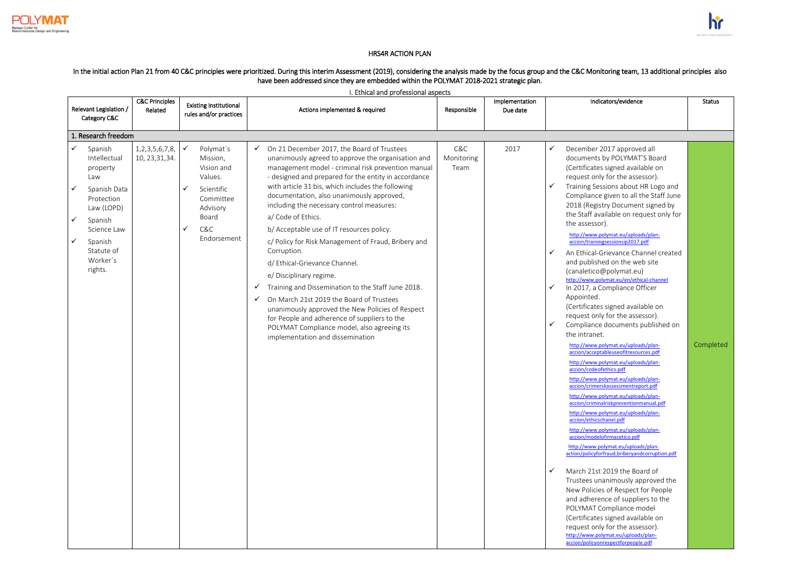

## HRS4R ACTION PLAN

## In the initial action Plan 21 from 40 C&C principles were prioritized. During this interim Assessment (2019), considering the analysis made by the focus group and the C&C Monitoring team, 13 additional principles also have been addressed since they are embedded within the POLYMAT 2018-2021 strategic plan.

I. Ethical and professional aspects

|                   | Relevant Legislation /                                                                                                                                           | <b>C&amp;C Principles</b><br>Related    |              | <b>Existing Institutional</b>                                                                                        |        | Actions implemented & required                                                                                                                                                                                                                                                                                                                                                                                                                                                                                                                                                                                                                                                                                                                                                                                                                              | Responsible               | Implementation<br>Due date |                                       | Indicators/evidence                                                                                                                                                                                                                                                                                                                                                                                                                                                                                                                                                                                                                                                                                                                                                                                                                                                                                                                                                                                                                                                                                                                                                                                                                                                                                                                                                                                                                                                                                                                                                                                                  | <b>Status</b> |
|-------------------|------------------------------------------------------------------------------------------------------------------------------------------------------------------|-----------------------------------------|--------------|----------------------------------------------------------------------------------------------------------------------|--------|-------------------------------------------------------------------------------------------------------------------------------------------------------------------------------------------------------------------------------------------------------------------------------------------------------------------------------------------------------------------------------------------------------------------------------------------------------------------------------------------------------------------------------------------------------------------------------------------------------------------------------------------------------------------------------------------------------------------------------------------------------------------------------------------------------------------------------------------------------------|---------------------------|----------------------------|---------------------------------------|----------------------------------------------------------------------------------------------------------------------------------------------------------------------------------------------------------------------------------------------------------------------------------------------------------------------------------------------------------------------------------------------------------------------------------------------------------------------------------------------------------------------------------------------------------------------------------------------------------------------------------------------------------------------------------------------------------------------------------------------------------------------------------------------------------------------------------------------------------------------------------------------------------------------------------------------------------------------------------------------------------------------------------------------------------------------------------------------------------------------------------------------------------------------------------------------------------------------------------------------------------------------------------------------------------------------------------------------------------------------------------------------------------------------------------------------------------------------------------------------------------------------------------------------------------------------------------------------------------------------|---------------|
|                   | Category C&C                                                                                                                                                     |                                         |              | rules and/or practices                                                                                               |        |                                                                                                                                                                                                                                                                                                                                                                                                                                                                                                                                                                                                                                                                                                                                                                                                                                                             |                           |                            |                                       |                                                                                                                                                                                                                                                                                                                                                                                                                                                                                                                                                                                                                                                                                                                                                                                                                                                                                                                                                                                                                                                                                                                                                                                                                                                                                                                                                                                                                                                                                                                                                                                                                      |               |
|                   | 1. Research freedom                                                                                                                                              |                                         |              |                                                                                                                      |        |                                                                                                                                                                                                                                                                                                                                                                                                                                                                                                                                                                                                                                                                                                                                                                                                                                                             |                           |                            |                                       |                                                                                                                                                                                                                                                                                                                                                                                                                                                                                                                                                                                                                                                                                                                                                                                                                                                                                                                                                                                                                                                                                                                                                                                                                                                                                                                                                                                                                                                                                                                                                                                                                      |               |
| ✓<br>$\checkmark$ | Spanish<br>Intellectual<br>property<br>Law<br>Spanish Data<br>Protection<br>Law (LOPD)<br>Spanish<br>Science Law<br>Spanish<br>Statute of<br>Worker's<br>rights. | 1, 2, 3, 5, 6, 7, 8,<br>10, 23, 31, 34. | $\checkmark$ | Polymat's<br>Mission,<br>Vision and<br>Values.<br>Scientific<br>Committee<br>Advisory<br>Board<br>C&C<br>Endorsement | ✓<br>✓ | On 21 December 2017, the Board of Trustees<br>unanimously agreed to approve the organisation and<br>management model - criminal risk prevention manual<br>- designed and prepared for the entity in accordance<br>with article 31 bis, which includes the following<br>documentation, also unanimously approved,<br>including the necessary control measures:<br>a/ Code of Ethics.<br>b/ Acceptable use of IT resources policy.<br>c/ Policy for Risk Management of Fraud, Bribery and<br>Corruption.<br>d/ Ethical-Grievance Channel.<br>e/ Disciplinary regime.<br>Training and Dissemination to the Staff June 2018.<br>On March 21st 2019 the Board of Trustees<br>unanimously approved the New Policies of Respect<br>for People and adherence of suppliers to the<br>POLYMAT Compliance model, also agreeing its<br>implementation and dissemination | C&C<br>Monitoring<br>Team | 2017                       | ✓<br>✓<br>✓<br>$\checkmark$<br>✓<br>✓ | December 2017 approved all<br>documents by POLYMAT'S Board<br>(Certificates signed available on<br>request only for the assessor).<br>Training Sessions about HR Logo and<br>Compliance given to all the Staff June<br>2018 (Registry Document signed by<br>the Staff available on request only for<br>the assessor).<br>http://www.polymat.eu/uploads/plan-<br>accion/trainingsessionsip2017.pdf<br>An Ethical-Grievance Channel created<br>and published on the web site<br>(canaletico@polymat.eu)<br>http://www.polymat.eu/en/ethical-channel<br>In 2017, a Compliance Officer<br>Appointed.<br>(Certificates signed available on<br>request only for the assessor).<br>Compliance documents published on<br>the intranet.<br>http://www.polymat.eu/uploads/plan-<br>accion/acceptableuseofitresources.pdf<br>http://www.polymat.eu/uploads/plan-<br>accion/codeofethics.pdf<br>http://www.polymat.eu/uploads/plan-<br>accion/crimerskassessmentreport.pdf<br>http://www.polymat.eu/uploads/plan-<br>accion/criminalriskpreventionmanual.pdf<br>http://www.polymat.eu/uploads/plan-<br>accion/ethicschanel.pdf<br>http://www.polymat.eu/uploads/plan-<br>accion/modelofirmacetico.pdf<br>http://www.polymat.eu/uploads/plan-<br>action/policyforfraud,briberyandcorruption.pdf<br>March 21st 2019 the Board of<br>Trustees unanimously approved the<br>New Policies of Respect for People<br>and adherence of suppliers to the<br>POLYMAT Compliance model<br>(Certificates signed available on<br>request only for the assessor).<br>http://www.polymat.eu/uploads/plan-<br>accion/policyonrespectforpeople.pdf | Completed     |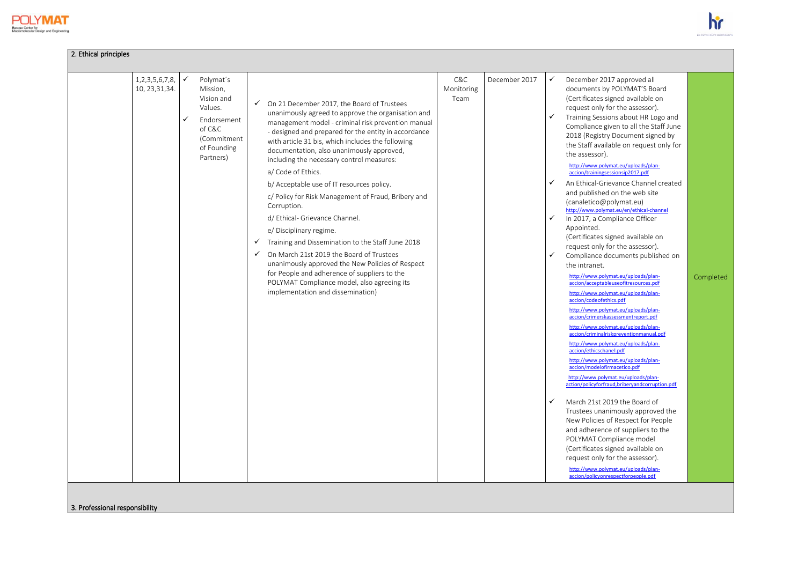

| 2. Ethical principles                   |                   |                                                                                                                    |                              |                                                                                                                                                                                                                                                                                                                                                                                                                                                                                                                                                                                                                                                                                                                                                                                                                                                              |                           |               |                                                                                   |                                                                                                                                                                                                                                                                                                                                                                                                                                                                                                                                                                                                                                                                                                                                                                                                                                                                                                                                                                                                                                                                                                                                                                                                                                                                                                                                                                                                                                                                                                                                                                                                                      |           |
|-----------------------------------------|-------------------|--------------------------------------------------------------------------------------------------------------------|------------------------------|--------------------------------------------------------------------------------------------------------------------------------------------------------------------------------------------------------------------------------------------------------------------------------------------------------------------------------------------------------------------------------------------------------------------------------------------------------------------------------------------------------------------------------------------------------------------------------------------------------------------------------------------------------------------------------------------------------------------------------------------------------------------------------------------------------------------------------------------------------------|---------------------------|---------------|-----------------------------------------------------------------------------------|----------------------------------------------------------------------------------------------------------------------------------------------------------------------------------------------------------------------------------------------------------------------------------------------------------------------------------------------------------------------------------------------------------------------------------------------------------------------------------------------------------------------------------------------------------------------------------------------------------------------------------------------------------------------------------------------------------------------------------------------------------------------------------------------------------------------------------------------------------------------------------------------------------------------------------------------------------------------------------------------------------------------------------------------------------------------------------------------------------------------------------------------------------------------------------------------------------------------------------------------------------------------------------------------------------------------------------------------------------------------------------------------------------------------------------------------------------------------------------------------------------------------------------------------------------------------------------------------------------------------|-----------|
| 1, 2, 3, 5, 6, 7, 8,<br>10, 23, 31, 34. | $\checkmark$<br>✓ | Polymat's<br>Mission,<br>Vision and<br>Values.<br>Endorsement<br>of C&C<br>(Commitment<br>of Founding<br>Partners) | $\checkmark$<br>$\checkmark$ | On 21 December 2017, the Board of Trustees<br>unanimously agreed to approve the organisation and<br>management model - criminal risk prevention manual<br>- designed and prepared for the entity in accordance<br>with article 31 bis, which includes the following<br>documentation, also unanimously approved,<br>including the necessary control measures:<br>a/ Code of Ethics.<br>b/ Acceptable use of IT resources policy.<br>c/ Policy for Risk Management of Fraud, Bribery and<br>Corruption.<br>d/ Ethical- Grievance Channel.<br>e/ Disciplinary regime.<br>Training and Dissemination to the Staff June 2018<br>On March 21st 2019 the Board of Trustees<br>unanimously approved the New Policies of Respect<br>for People and adherence of suppliers to the<br>POLYMAT Compliance model, also agreeing its<br>implementation and dissemination) | C&C<br>Monitoring<br>Team | December 2017 | ✓<br>$\checkmark$<br>$\checkmark$<br>$\checkmark$<br>$\checkmark$<br>$\checkmark$ | December 2017 approved all<br>documents by POLYMAT'S Board<br>(Certificates signed available on<br>request only for the assessor).<br>Training Sessions about HR Logo and<br>Compliance given to all the Staff June<br>2018 (Registry Document signed by<br>the Staff available on request only for<br>the assessor).<br>http://www.polymat.eu/uploads/plan-<br>accion/trainingsessionsip2017.pdf<br>An Ethical-Grievance Channel created<br>and published on the web site<br>(canaletico@polymat.eu)<br>http://www.polymat.eu/en/ethical-channel<br>In 2017, a Compliance Officer<br>Appointed.<br>(Certificates signed available on<br>request only for the assessor).<br>Compliance documents published on<br>the intranet.<br>http://www.polymat.eu/uploads/plan-<br>accion/acceptableuseofitresources.pdf<br>http://www.polymat.eu/uploads/plan-<br>accion/codeofethics.pdf<br>http://www.polymat.eu/uploads/plan-<br>accion/crimerskassessmentreport.pdf<br>http://www.polymat.eu/uploads/plan-<br>accion/criminalriskpreventionmanual.pdf<br>http://www.polymat.eu/uploads/plan-<br>accion/ethicschanel.pdf<br>http://www.polymat.eu/uploads/plan-<br>accion/modelofirmacetico.pdf<br>http://www.polymat.eu/uploads/plan-<br>action/policyforfraud.bribervandcorruption.pdf<br>March 21st 2019 the Board of<br>Trustees unanimously approved the<br>New Policies of Respect for People<br>and adherence of suppliers to the<br>POLYMAT Compliance model<br>(Certificates signed available on<br>request only for the assessor).<br>http://www.polymat.eu/uploads/plan-<br>accion/policyonrespectforpeople.pdf | Completed |

3. Professional responsibility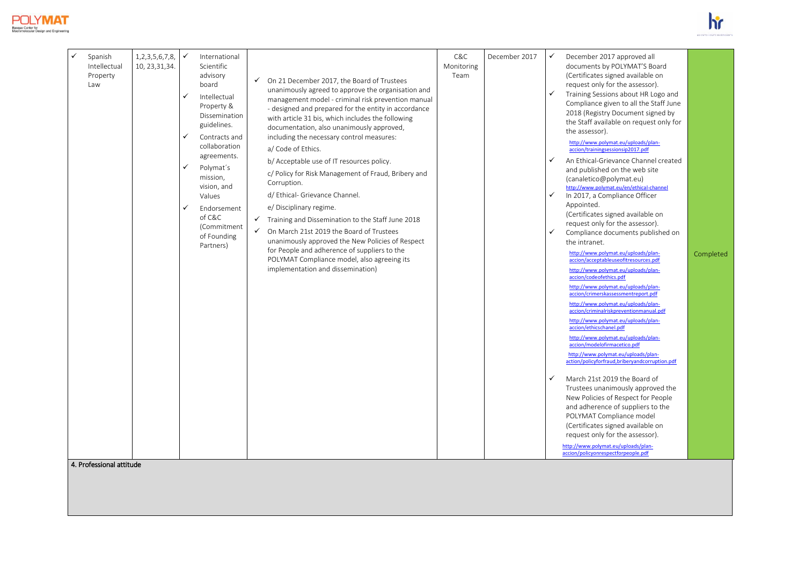



| $\checkmark$<br>Spanish<br>Intellectual<br>Property<br>Law | International<br>Scientific<br>advisory<br>board<br>Intellectual<br>Property &<br>Dissemination<br>guidelines.<br>Contracts and<br>collaboration<br>agreements.<br>Polymat's<br>mission,<br>vision, and<br>Values<br>Endorsement<br>of C&C<br>(Commitment<br>of Founding<br>Partners) | $\checkmark$<br>$\checkmark$<br>$\checkmark$ | On 21 December 2017, the Board of Trustees<br>unanimously agreed to approve the organisation and<br>management model - criminal risk prevention manual<br>- designed and prepared for the entity in accordance<br>with article 31 bis, which includes the following<br>documentation, also unanimously approved,<br>including the necessary control measures:<br>a/ Code of Ethics.<br>b/ Acceptable use of IT resources policy.<br>c/ Policy for Risk Management of Fraud, Bribery and<br>Corruption.<br>d/ Ethical- Grievance Channel.<br>e/ Disciplinary regime.<br>Training and Dissemination to the Staff June 2018<br>On March 21st 2019 the Board of Trustees<br>unanimously approved the New Policies of Respect<br>for People and adherence of suppliers to the<br>POLYMAT Compliance model, also agreeing its<br>implementation and dissemination) | C&C<br>Monitoring<br>Team | December 2017 | ✓<br>✓<br>✓<br>✓<br>✓ | December 2017 approved all<br>documents by POLYMAT'S Board<br>(Certificates signed available on<br>request only for the assessor).<br>Training Sessions about HR Logo and<br>Compliance given to all the Staff June<br>2018 (Registry Document signed by<br>the Staff available on request only for<br>the assessor).<br>http://www.polymat.eu/uploads/plan-<br>accion/trainingsessionsip2017.pdf<br>An Ethical-Grievance Channel created<br>and published on the web site<br>(canaletico@polymat.eu)<br>http://www.polymat.eu/en/ethical-channel<br>In 2017, a Compliance Officer<br>Appointed.<br>(Certificates signed available on<br>request only for the assessor).<br>Compliance documents published on<br>the intranet.<br>http://www.polymat.eu/uploads/plan-<br>accion/acceptableuseofitresources.pdf<br>http://www.polymat.eu/uploads/plan-<br>accion/codeofethics.pdf<br>http://www.polymat.eu/uploads/plan-<br>accion/crimerskassessmentreport.pdf<br>http://www.polymat.eu/uploads/plan-<br>accion/criminalriskpreventionmanual.pdf<br>http://www.polymat.eu/uploads/plan-<br>accion/ethicschanel.pdf<br>http://www.polymat.eu/uploads/plan-<br>accion/modelofirmacetico.pdf<br>http://www.polymat.eu/uploads/plan-<br>action/policyforfraud,briberyandcorruption.pdf<br>March 21st 2019 the Board of<br>Trustees unanimously approved the<br>New Policies of Respect for People<br>and adherence of suppliers to the<br>POLYMAT Compliance model<br>(Certificates signed available on<br>request only for the assessor).<br>http://www.polymat.eu/uploads/plan-<br>accion/policyonrespectforpeople.pdf | Completed |
|------------------------------------------------------------|---------------------------------------------------------------------------------------------------------------------------------------------------------------------------------------------------------------------------------------------------------------------------------------|----------------------------------------------|--------------------------------------------------------------------------------------------------------------------------------------------------------------------------------------------------------------------------------------------------------------------------------------------------------------------------------------------------------------------------------------------------------------------------------------------------------------------------------------------------------------------------------------------------------------------------------------------------------------------------------------------------------------------------------------------------------------------------------------------------------------------------------------------------------------------------------------------------------------|---------------------------|---------------|-----------------------|----------------------------------------------------------------------------------------------------------------------------------------------------------------------------------------------------------------------------------------------------------------------------------------------------------------------------------------------------------------------------------------------------------------------------------------------------------------------------------------------------------------------------------------------------------------------------------------------------------------------------------------------------------------------------------------------------------------------------------------------------------------------------------------------------------------------------------------------------------------------------------------------------------------------------------------------------------------------------------------------------------------------------------------------------------------------------------------------------------------------------------------------------------------------------------------------------------------------------------------------------------------------------------------------------------------------------------------------------------------------------------------------------------------------------------------------------------------------------------------------------------------------------------------------------------------------------------------------------------------------|-----------|
|                                                            | $\checkmark$<br>$\checkmark$<br>$\checkmark$<br>✓<br>$\checkmark$                                                                                                                                                                                                                     |                                              |                                                                                                                                                                                                                                                                                                                                                                                                                                                                                                                                                                                                                                                                                                                                                                                                                                                              |                           |               |                       |                                                                                                                                                                                                                                                                                                                                                                                                                                                                                                                                                                                                                                                                                                                                                                                                                                                                                                                                                                                                                                                                                                                                                                                                                                                                                                                                                                                                                                                                                                                                                                                                                      |           |
| 1, 2, 3, 5, 6, 7, 8,<br>10, 23, 31, 34.                    |                                                                                                                                                                                                                                                                                       |                                              |                                                                                                                                                                                                                                                                                                                                                                                                                                                                                                                                                                                                                                                                                                                                                                                                                                                              |                           |               |                       |                                                                                                                                                                                                                                                                                                                                                                                                                                                                                                                                                                                                                                                                                                                                                                                                                                                                                                                                                                                                                                                                                                                                                                                                                                                                                                                                                                                                                                                                                                                                                                                                                      |           |

4. Professional attitude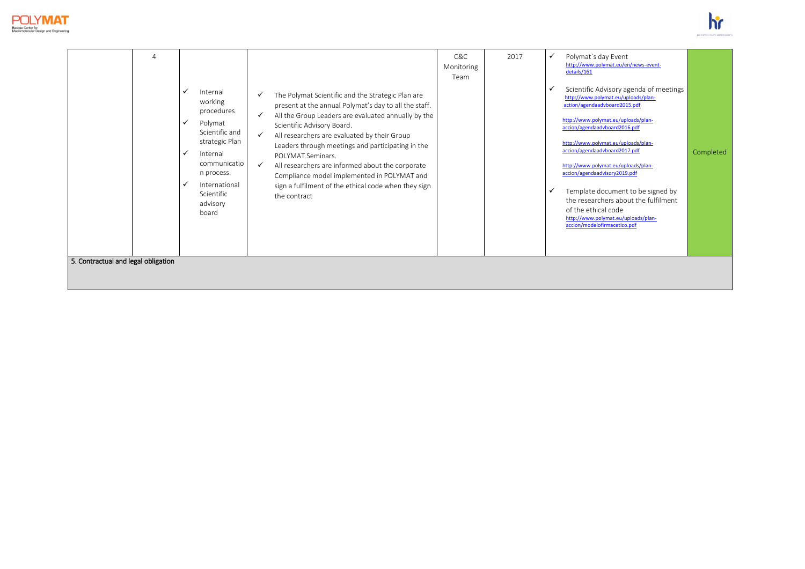



| procedures<br>$\checkmark$<br>All the Group Leaders are evaluated annually by the<br>http://www.polymat.eu/uploads/plan-<br>Polymat<br>✓<br>Scientific Advisory Board.<br>accion/agendaadvboard2016.pdf<br>Scientific and<br>All researchers are evaluated by their Group<br>strategic Plan<br>http://www.polymat.eu/uploads/plan-<br>Leaders through meetings and participating in the<br>accion/agendaadvboard2017.pdf<br>✓<br>Internal<br>POI YMAT Seminars.<br>communicatio<br>http://www.polymat.eu/uploads/plan-<br>$\checkmark$<br>All researchers are informed about the corporate<br>accion/agendaadvisory2019.pdf<br>n process.<br>Compliance model implemented in POLYMAT and<br>✓<br>International<br>sign a fulfilment of the ethical code when they sign<br>Template document to be signed by<br>$\checkmark$<br>Scientific<br>the contract<br>the researchers about the fulfilment<br>advisory<br>of the ethical code<br>board<br>http://www.polymat.eu/uploads/plan-<br>accion/modelofirmacetico.pdf | Completed |
|----------------------------------------------------------------------------------------------------------------------------------------------------------------------------------------------------------------------------------------------------------------------------------------------------------------------------------------------------------------------------------------------------------------------------------------------------------------------------------------------------------------------------------------------------------------------------------------------------------------------------------------------------------------------------------------------------------------------------------------------------------------------------------------------------------------------------------------------------------------------------------------------------------------------------------------------------------------------------------------------------------------------|-----------|
| 5. Contractual and legal obligation                                                                                                                                                                                                                                                                                                                                                                                                                                                                                                                                                                                                                                                                                                                                                                                                                                                                                                                                                                                  |           |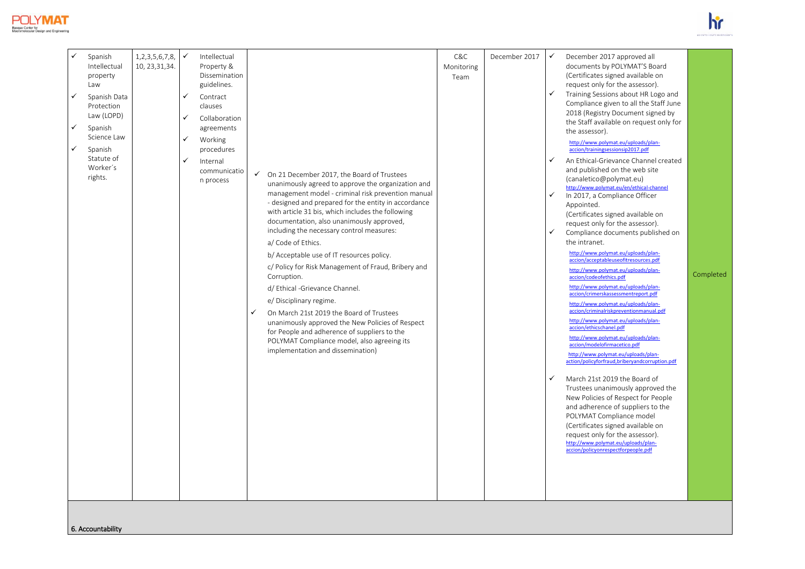



|  | Intellectual<br>property<br>Law<br>$\checkmark$<br>Spanish Data<br>Protection<br>Law (LOPD)<br>$\checkmark$<br>Spanish<br>Science Law<br>$\checkmark$<br>Spanish<br>Statute of<br>Worker's<br>rights. | 10, 23, 31, 34. | $\checkmark$<br>✓<br>$\checkmark$<br>$\checkmark$ | Property &<br>Dissemination<br>guidelines.<br>Contract<br>clauses<br>Collaboration<br>agreements<br>Working<br>procedures<br>Internal<br>communicatio<br>n process | ✓ | ← On 21 December 2017, the Board of Trustees<br>unanimously agreed to approve the organization and<br>management model - criminal risk prevention manual<br>- designed and prepared for the entity in accordance<br>with article 31 bis, which includes the following<br>documentation, also unanimously approved,<br>including the necessary control measures:<br>a/ Code of Ethics.<br>b/ Acceptable use of IT resources policy.<br>c/ Policy for Risk Management of Fraud, Bribery and<br>Corruption.<br>d/ Ethical -Grievance Channel.<br>e/ Disciplinary regime.<br>On March 21st 2019 the Board of Trustees<br>unanimously approved the New Policies of Respect<br>for People and adherence of suppliers to the<br>POLYMAT Compliance model, also agreeing its<br>implementation and dissemination) | Monitoring<br>Team |  | ✓<br>✓<br>$\checkmark$<br>✓<br>✓ | documents by POLYMAT'S Board<br>(Certificates signed available on<br>request only for the assessor).<br>Training Sessions about HR Logo and<br>Compliance given to all the Staff June<br>2018 (Registry Document signed by<br>the Staff available on request only for<br>the assessor).<br>http://www.polymat.eu/uploads/plan-<br>accion/trainingsessionsip2017.pdf<br>An Ethical-Grievance Channel created<br>and published on the web site<br>(canaletico@polymat.eu)<br>http://www.polymat.eu/en/ethical-channel<br>In 2017, a Compliance Officer<br>Appointed.<br>(Certificates signed available on<br>request only for the assessor).<br>Compliance documents published on<br>the intranet.<br>http://www.polymat.eu/uploads/plan-<br>accion/acceptableuseofitresources.pdf<br>http://www.polymat.eu/uploads/plan-<br>accion/codeofethics.pdf<br>http://www.polymat.eu/uploads/plan-<br>accion/crimerskassessmentreport.pdf<br>http://www.polymat.eu/uploads/plan-<br>accion/criminalriskpreventionmanual.pdf<br>http://www.polymat.eu/uploads/plan-<br>accion/ethicschanel.pdf<br>http://www.polymat.eu/uploads/plan-<br>accion/modelofirmacetico.pdf<br>http://www.polymat.eu/uploads/plan-<br>action/policyforfraud,briberyandcorruption.pdf<br>March 21st 2019 the Board of<br>Trustees unanimously approved the<br>New Policies of Respect for People<br>and adherence of suppliers to the<br>POLYMAT Compliance model<br>(Certificates signed available on<br>request only for the assessor).<br>http://www.polymat.eu/uploads/plan-<br>accion/policyonrespectforpeople.pdf | Completed |
|--|-------------------------------------------------------------------------------------------------------------------------------------------------------------------------------------------------------|-----------------|---------------------------------------------------|--------------------------------------------------------------------------------------------------------------------------------------------------------------------|---|-----------------------------------------------------------------------------------------------------------------------------------------------------------------------------------------------------------------------------------------------------------------------------------------------------------------------------------------------------------------------------------------------------------------------------------------------------------------------------------------------------------------------------------------------------------------------------------------------------------------------------------------------------------------------------------------------------------------------------------------------------------------------------------------------------------|--------------------|--|----------------------------------|----------------------------------------------------------------------------------------------------------------------------------------------------------------------------------------------------------------------------------------------------------------------------------------------------------------------------------------------------------------------------------------------------------------------------------------------------------------------------------------------------------------------------------------------------------------------------------------------------------------------------------------------------------------------------------------------------------------------------------------------------------------------------------------------------------------------------------------------------------------------------------------------------------------------------------------------------------------------------------------------------------------------------------------------------------------------------------------------------------------------------------------------------------------------------------------------------------------------------------------------------------------------------------------------------------------------------------------------------------------------------------------------------------------------------------------------------------------------------------------------------------------------------------------------------------------------------------------|-----------|
|--|-------------------------------------------------------------------------------------------------------------------------------------------------------------------------------------------------------|-----------------|---------------------------------------------------|--------------------------------------------------------------------------------------------------------------------------------------------------------------------|---|-----------------------------------------------------------------------------------------------------------------------------------------------------------------------------------------------------------------------------------------------------------------------------------------------------------------------------------------------------------------------------------------------------------------------------------------------------------------------------------------------------------------------------------------------------------------------------------------------------------------------------------------------------------------------------------------------------------------------------------------------------------------------------------------------------------|--------------------|--|----------------------------------|----------------------------------------------------------------------------------------------------------------------------------------------------------------------------------------------------------------------------------------------------------------------------------------------------------------------------------------------------------------------------------------------------------------------------------------------------------------------------------------------------------------------------------------------------------------------------------------------------------------------------------------------------------------------------------------------------------------------------------------------------------------------------------------------------------------------------------------------------------------------------------------------------------------------------------------------------------------------------------------------------------------------------------------------------------------------------------------------------------------------------------------------------------------------------------------------------------------------------------------------------------------------------------------------------------------------------------------------------------------------------------------------------------------------------------------------------------------------------------------------------------------------------------------------------------------------------------------|-----------|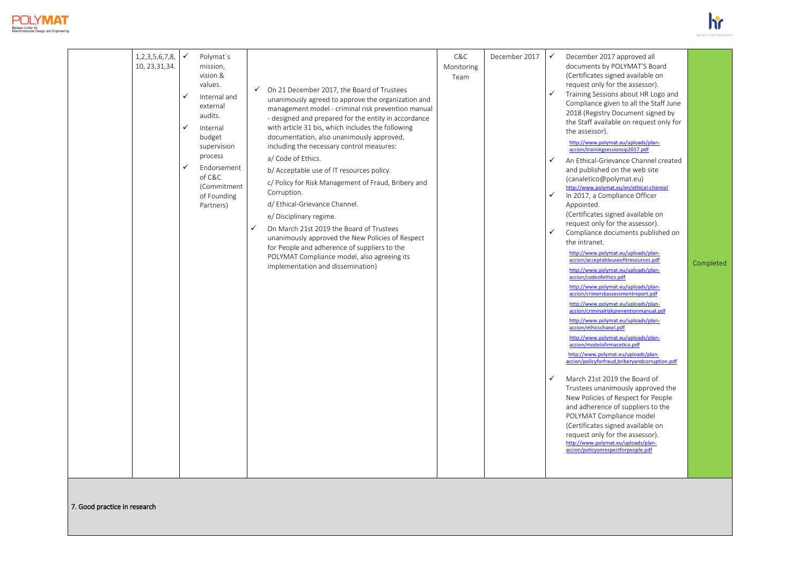



| 1, 2, 3, 5, 6, 7, 8,<br>10, 23, 31, 34. | $\checkmark$<br>✓<br>✓<br>✓ | Polymat's<br>mission,<br>vision &<br>values.<br>Internal and<br>external<br>audits.<br>Internal<br>budget<br>supervision<br>process<br>Endorsement<br>of C&C<br>(Commitment<br>of Founding<br>Partners) | $\checkmark$ | $\checkmark$ On 21 December 2017, the Board of Trustees<br>unanimously agreed to approve the organization and<br>management model - criminal risk prevention manual<br>- designed and prepared for the entity in accordance<br>with article 31 bis, which includes the following<br>documentation, also unanimously approved,<br>including the necessary control measures:<br>a/ Code of Ethics.<br>b/ Acceptable use of IT resources policy.<br>c/ Policy for Risk Management of Fraud, Bribery and<br>Corruption.<br>d/ Ethical-Grievance Channel.<br>e/ Disciplinary regime.<br>On March 21st 2019 the Board of Trustees<br>unanimously approved the New Policies of Respect<br>for People and adherence of suppliers to the<br>POLYMAT Compliance model, also agreeing its<br>implementation and dissemination) | C&C<br>Monitoring<br>Team | December 2017 | $\checkmark$<br>✓<br>$\checkmark$<br>✓<br>$\checkmark$<br>✓ | December 2017 approved all<br>documents by POLYMAT'S Board<br>(Certificates signed available on<br>request only for the assessor).<br>Training Sessions about HR Logo and<br>Compliance given to all the Staff June<br>2018 (Registry Document signed by<br>the Staff available on request only for<br>the assessor).<br>http://www.polymat.eu/uploads/plan-<br>accion/trainingsessionsip2017.pdf<br>An Ethical-Grievance Channel created<br>and published on the web site<br>(canaletico@polymat.eu)<br>http://www.polymat.eu/en/ethical-channel<br>In 2017, a Compliance Officer<br>Appointed.<br>(Certificates signed available on<br>request only for the assessor).<br>Compliance documents published on<br>the intranet.<br>http://www.polymat.eu/uploads/plan-<br>accion/acceptableuseofitresources.pdf<br>http://www.polymat.eu/uploads/plan-<br>accion/codeofethics.pdf<br>http://www.polymat.eu/uploads/plan-<br>accion/crimerskassessmentreport.pdf<br>http://www.polymat.eu/uploads/plan-<br>accion/criminalriskpreventionmanual.pdf<br>http://www.polymat.eu/uploads/plan-<br>accion/ethicschanel.pdf<br>http://www.polymat.eu/uploads/plan-<br>accion/modelofirmacetico.pdf<br>http://www.polymat.eu/uploads/plan-<br>accion/policyforfraud,briberyandcorruption.pdf<br>March 21st 2019 the Board of<br>Trustees unanimously approved the<br>New Policies of Respect for People<br>and adherence of suppliers to the<br>POLYMAT Compliance model<br>(Certificates signed available on<br>request only for the assessor).<br>http://www.polymat.eu/uploads/plan-<br>accion/policyonrespectforpeople.pdf | Completed |
|-----------------------------------------|-----------------------------|---------------------------------------------------------------------------------------------------------------------------------------------------------------------------------------------------------|--------------|---------------------------------------------------------------------------------------------------------------------------------------------------------------------------------------------------------------------------------------------------------------------------------------------------------------------------------------------------------------------------------------------------------------------------------------------------------------------------------------------------------------------------------------------------------------------------------------------------------------------------------------------------------------------------------------------------------------------------------------------------------------------------------------------------------------------|---------------------------|---------------|-------------------------------------------------------------|----------------------------------------------------------------------------------------------------------------------------------------------------------------------------------------------------------------------------------------------------------------------------------------------------------------------------------------------------------------------------------------------------------------------------------------------------------------------------------------------------------------------------------------------------------------------------------------------------------------------------------------------------------------------------------------------------------------------------------------------------------------------------------------------------------------------------------------------------------------------------------------------------------------------------------------------------------------------------------------------------------------------------------------------------------------------------------------------------------------------------------------------------------------------------------------------------------------------------------------------------------------------------------------------------------------------------------------------------------------------------------------------------------------------------------------------------------------------------------------------------------------------------------------------------------------------------------------------------------------------|-----------|

7. Good practice in research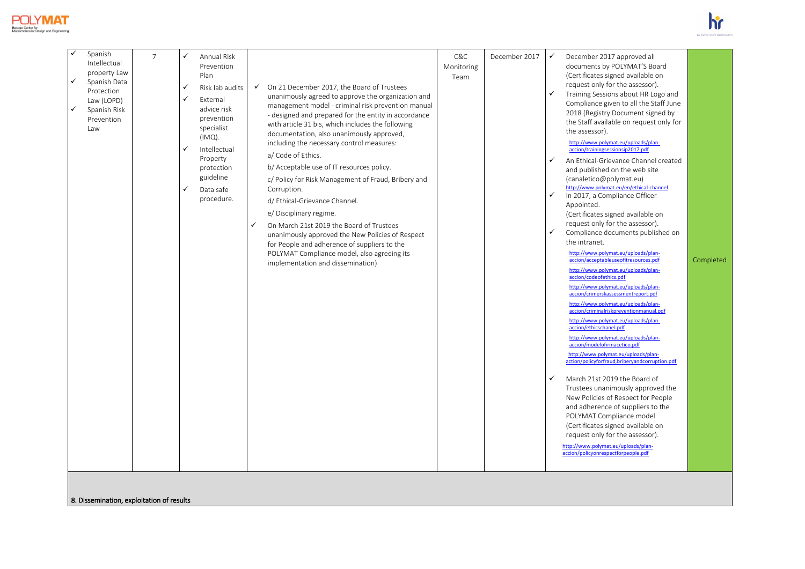



|  | Spanish<br>Intellectual<br>property Law<br>$\checkmark$<br>Spanish Data<br>Protection<br>Law (LOPD)<br>$\checkmark$<br>Spanish Risk<br>Prevention<br>Law | $\overline{7}$ | <b>Annual Risk</b><br>$\checkmark$<br>Prevention<br>Plan<br>✓<br>Risk lab audits<br>$\checkmark$<br>External<br>advice risk<br>prevention<br>specialist<br>$(IMQ)$ .<br>$\checkmark$<br>Intellectual<br>Property<br>protection<br>guideline<br>$\checkmark$<br>Data safe<br>procedure. | ✓ | $\checkmark$ On 21 December 2017, the Board of Trustees<br>unanimously agreed to approve the organization and<br>management model - criminal risk prevention manual<br>- designed and prepared for the entity in accordance<br>with article 31 bis, which includes the following<br>documentation, also unanimously approved,<br>including the necessary control measures:<br>a/ Code of Ethics.<br>b/ Acceptable use of IT resources policy.<br>c/ Policy for Risk Management of Fraud, Bribery and<br>Corruption.<br>d/ Ethical-Grievance Channel.<br>e/ Disciplinary regime.<br>On March 21st 2019 the Board of Trustees<br>unanimously approved the New Policies of Respect<br>for People and adherence of suppliers to the<br>POLYMAT Compliance model, also agreeing its<br>implementation and dissemination) | C&C<br>Monitoring<br>Team | December 2017 | $\checkmark$<br>$\checkmark$<br>✓<br>$\checkmark$<br>✓<br>✓ | December 2017 approved all<br>documents by POLYMAT'S Board<br>(Certificates signed available on<br>request only for the assessor).<br>Training Sessions about HR Logo and<br>Compliance given to all the Staff June<br>2018 (Registry Document signed by<br>the Staff available on request only for<br>the assessor).<br>http://www.polymat.eu/uploads/plan-<br>accion/trainingsessionsip2017.pdf<br>An Ethical-Grievance Channel created<br>and published on the web site<br>(canaletico@polymat.eu)<br>http://www.polymat.eu/en/ethical-channel<br>In 2017, a Compliance Officer<br>Appointed.<br>(Certificates signed available on<br>request only for the assessor).<br>Compliance documents published on<br>the intranet.<br>http://www.polymat.eu/uploads/plan-<br>accion/acceptableuseofitresources.pdf<br>http://www.polymat.eu/uploads/plan-<br>accion/codeofethics.pdf<br>http://www.polymat.eu/uploads/plan-<br>accion/crimerskassessmentreport.pdf<br>http://www.polymat.eu/uploads/plan-<br>accion/criminalriskpreventionmanual.pdf<br>http://www.polymat.eu/uploads/plan-<br>accion/ethicschanel.pdf<br>http://www.polymat.eu/uploads/plan-<br>accion/modelofirmacetico.pdf<br>http://www.polymat.eu/uploads/plan-<br>action/policyforfraud,briberyandcorruption.pdf<br>March 21st 2019 the Board of<br>Trustees unanimously approved the<br>New Policies of Respect for People<br>and adherence of suppliers to the<br>POLYMAT Compliance model<br>(Certificates signed available on<br>request only for the assessor).<br>http://www.polymat.eu/uploads/plan-<br>accion/policyonrespectforpeople.pdf | Completed |
|--|----------------------------------------------------------------------------------------------------------------------------------------------------------|----------------|----------------------------------------------------------------------------------------------------------------------------------------------------------------------------------------------------------------------------------------------------------------------------------------|---|---------------------------------------------------------------------------------------------------------------------------------------------------------------------------------------------------------------------------------------------------------------------------------------------------------------------------------------------------------------------------------------------------------------------------------------------------------------------------------------------------------------------------------------------------------------------------------------------------------------------------------------------------------------------------------------------------------------------------------------------------------------------------------------------------------------------|---------------------------|---------------|-------------------------------------------------------------|----------------------------------------------------------------------------------------------------------------------------------------------------------------------------------------------------------------------------------------------------------------------------------------------------------------------------------------------------------------------------------------------------------------------------------------------------------------------------------------------------------------------------------------------------------------------------------------------------------------------------------------------------------------------------------------------------------------------------------------------------------------------------------------------------------------------------------------------------------------------------------------------------------------------------------------------------------------------------------------------------------------------------------------------------------------------------------------------------------------------------------------------------------------------------------------------------------------------------------------------------------------------------------------------------------------------------------------------------------------------------------------------------------------------------------------------------------------------------------------------------------------------------------------------------------------------------------------------------------------------|-----------|
|--|----------------------------------------------------------------------------------------------------------------------------------------------------------|----------------|----------------------------------------------------------------------------------------------------------------------------------------------------------------------------------------------------------------------------------------------------------------------------------------|---|---------------------------------------------------------------------------------------------------------------------------------------------------------------------------------------------------------------------------------------------------------------------------------------------------------------------------------------------------------------------------------------------------------------------------------------------------------------------------------------------------------------------------------------------------------------------------------------------------------------------------------------------------------------------------------------------------------------------------------------------------------------------------------------------------------------------|---------------------------|---------------|-------------------------------------------------------------|----------------------------------------------------------------------------------------------------------------------------------------------------------------------------------------------------------------------------------------------------------------------------------------------------------------------------------------------------------------------------------------------------------------------------------------------------------------------------------------------------------------------------------------------------------------------------------------------------------------------------------------------------------------------------------------------------------------------------------------------------------------------------------------------------------------------------------------------------------------------------------------------------------------------------------------------------------------------------------------------------------------------------------------------------------------------------------------------------------------------------------------------------------------------------------------------------------------------------------------------------------------------------------------------------------------------------------------------------------------------------------------------------------------------------------------------------------------------------------------------------------------------------------------------------------------------------------------------------------------------|-----------|

8. Dissemination, exploitation of results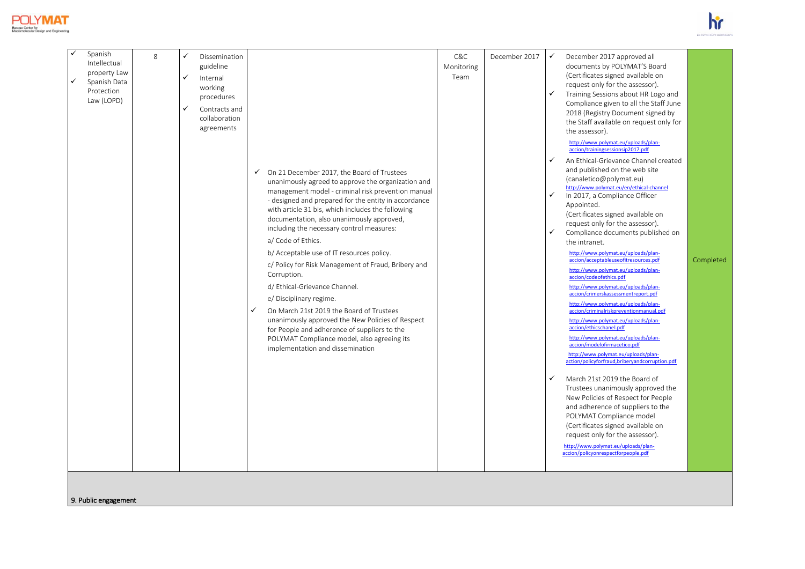



|  | Spanish<br>Intellectual<br>property Law<br>✓<br>Spanish Data<br>Protection<br>Law (LOPD) | 8 | $\checkmark$<br>$\checkmark$<br>$\checkmark$ | Dissemination<br>guideline<br>Internal<br>working<br>procedures<br>Contracts and<br>collaboration<br>agreements | $\checkmark$<br>✓ | On 21 December 2017, the Board of Trustees<br>unanimously agreed to approve the organization and<br>management model - criminal risk prevention manual<br>- designed and prepared for the entity in accordance<br>with article 31 bis, which includes the following<br>documentation, also unanimously approved,<br>including the necessary control measures:<br>a/ Code of Ethics.<br>b/ Acceptable use of IT resources policy.<br>c/ Policy for Risk Management of Fraud, Bribery and<br>Corruption.<br>d/ Ethical-Grievance Channel.<br>e/ Disciplinary regime.<br>On March 21st 2019 the Board of Trustees<br>unanimously approved the New Policies of Respect<br>for People and adherence of suppliers to the<br>POLYMAT Compliance model, also agreeing its<br>implementation and dissemination | C&C<br>Monitoring<br>Team | December 2017 | $\checkmark$<br>$\checkmark$<br>$\checkmark$<br>$\checkmark$<br>$\checkmark$<br>$\checkmark$ | December 2017 approved all<br>documents by POLYMAT'S Board<br>(Certificates signed available on<br>request only for the assessor).<br>Training Sessions about HR Logo and<br>Compliance given to all the Staff June<br>2018 (Registry Document signed by<br>the Staff available on request only for<br>the assessor).<br>http://www.polymat.eu/uploads/plan-<br>accion/trainingsessionsip2017.pdf<br>An Ethical-Grievance Channel created<br>and published on the web site<br>(canaletico@polymat.eu)<br>http://www.polymat.eu/en/ethical-channel<br>In 2017, a Compliance Officer<br>Appointed.<br>(Certificates signed available on<br>request only for the assessor).<br>Compliance documents published on<br>the intranet.<br>http://www.polymat.eu/uploads/plan-<br>accion/acceptableuseofitresources.pdf<br>http://www.polymat.eu/uploads/plan-<br>accion/codeofethics.pdf<br>http://www.polymat.eu/uploads/plan-<br>accion/crimerskassessmentreport.pdf<br>http://www.polymat.eu/uploads/plan-<br>accion/criminalriskpreventionmanual.pdf<br>http://www.polymat.eu/uploads/plan-<br>accion/ethicschanel.pdf<br>http://www.polymat.eu/uploads/plan-<br>accion/modelofirmacetico.pdf<br>http://www.polymat.eu/uploads/plan-<br>action/policyforfraud,briberyandcorruption.pdf<br>March 21st 2019 the Board of<br>Trustees unanimously approved the<br>New Policies of Respect for People<br>and adherence of suppliers to the<br>POLYMAT Compliance model<br>(Certificates signed available on<br>request only for the assessor).<br>http://www.polymat.eu/uploads/plan-<br>accion/policyonrespectforpeople.pdf | Completed |
|--|------------------------------------------------------------------------------------------|---|----------------------------------------------|-----------------------------------------------------------------------------------------------------------------|-------------------|-------------------------------------------------------------------------------------------------------------------------------------------------------------------------------------------------------------------------------------------------------------------------------------------------------------------------------------------------------------------------------------------------------------------------------------------------------------------------------------------------------------------------------------------------------------------------------------------------------------------------------------------------------------------------------------------------------------------------------------------------------------------------------------------------------|---------------------------|---------------|----------------------------------------------------------------------------------------------|----------------------------------------------------------------------------------------------------------------------------------------------------------------------------------------------------------------------------------------------------------------------------------------------------------------------------------------------------------------------------------------------------------------------------------------------------------------------------------------------------------------------------------------------------------------------------------------------------------------------------------------------------------------------------------------------------------------------------------------------------------------------------------------------------------------------------------------------------------------------------------------------------------------------------------------------------------------------------------------------------------------------------------------------------------------------------------------------------------------------------------------------------------------------------------------------------------------------------------------------------------------------------------------------------------------------------------------------------------------------------------------------------------------------------------------------------------------------------------------------------------------------------------------------------------------------------------------------------------------------|-----------|
|--|------------------------------------------------------------------------------------------|---|----------------------------------------------|-----------------------------------------------------------------------------------------------------------------|-------------------|-------------------------------------------------------------------------------------------------------------------------------------------------------------------------------------------------------------------------------------------------------------------------------------------------------------------------------------------------------------------------------------------------------------------------------------------------------------------------------------------------------------------------------------------------------------------------------------------------------------------------------------------------------------------------------------------------------------------------------------------------------------------------------------------------------|---------------------------|---------------|----------------------------------------------------------------------------------------------|----------------------------------------------------------------------------------------------------------------------------------------------------------------------------------------------------------------------------------------------------------------------------------------------------------------------------------------------------------------------------------------------------------------------------------------------------------------------------------------------------------------------------------------------------------------------------------------------------------------------------------------------------------------------------------------------------------------------------------------------------------------------------------------------------------------------------------------------------------------------------------------------------------------------------------------------------------------------------------------------------------------------------------------------------------------------------------------------------------------------------------------------------------------------------------------------------------------------------------------------------------------------------------------------------------------------------------------------------------------------------------------------------------------------------------------------------------------------------------------------------------------------------------------------------------------------------------------------------------------------|-----------|

9. Public engagement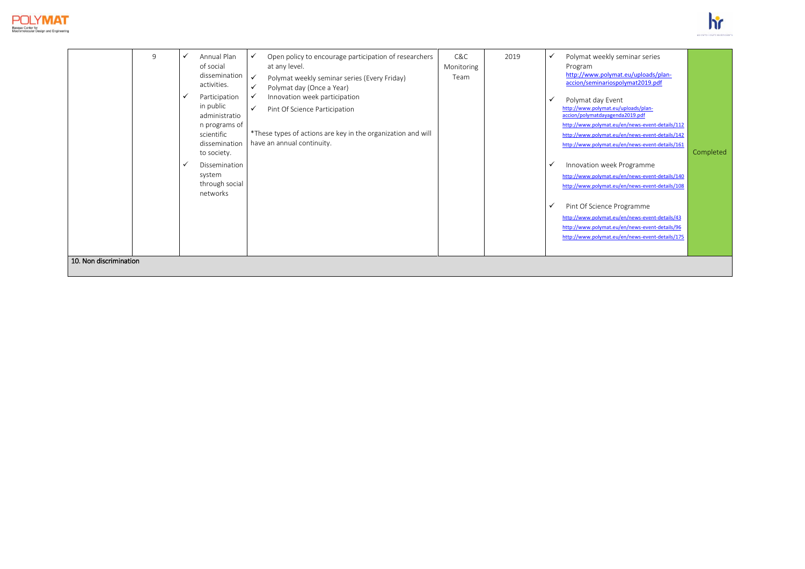



| 10. Non discrimination |
|------------------------|
|------------------------|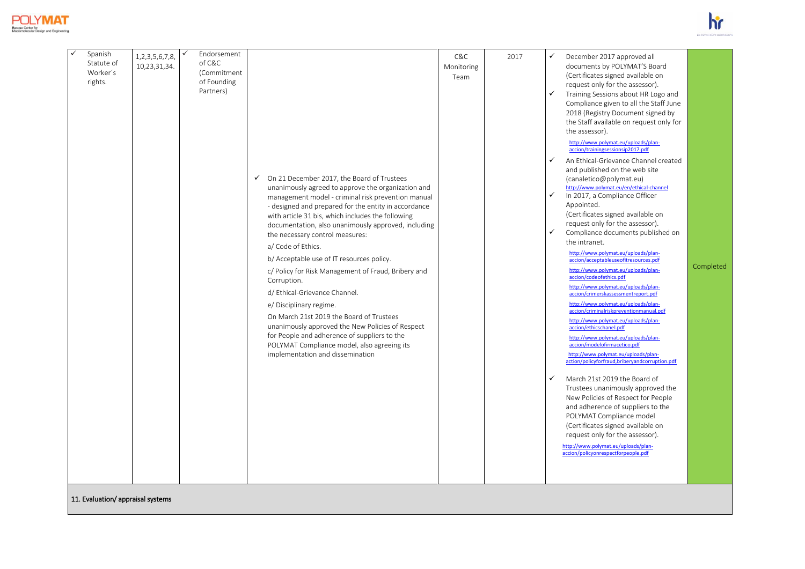



| Spanish<br>Statute of<br>Worker's<br>rights. | 1, 2, 3, 5, 6, 7, 8,<br>10,23,31,34. |  | Endorsement<br>of C&C<br>(Commitment<br>of Founding<br>Partners) |  | √ On 21 December 2017, the Board of Trustees<br>unanimously agreed to approve the organization and<br>management model - criminal risk prevention manual<br>- designed and prepared for the entity in accordance<br>with article 31 bis, which includes the following<br>documentation, also unanimously approved, including<br>the necessary control measures:<br>a/ Code of Ethics.<br>b/ Acceptable use of IT resources policy.<br>c/ Policy for Risk Management of Fraud, Bribery and<br>Corruption.<br>d/ Ethical-Grievance Channel.<br>e/ Disciplinary regime.<br>On March 21st 2019 the Board of Trustees<br>unanimously approved the New Policies of Respect<br>for People and adherence of suppliers to the<br>POLYMAT Compliance model, also agreeing its<br>implementation and dissemination | C&C<br>Monitoring<br>Team | 2017 | ✓<br>$\checkmark$<br>$\checkmark$<br>$\checkmark$<br>$\checkmark$<br>✓ | December 2017 approved all<br>documents by POLYMAT'S Board<br>(Certificates signed available on<br>request only for the assessor).<br>Training Sessions about HR Logo and<br>Compliance given to all the Staff June<br>2018 (Registry Document signed by<br>the Staff available on request only for<br>the assessor).<br>http://www.polymat.eu/uploads/plan-<br>accion/trainingsessionsip2017.pdf<br>An Ethical-Grievance Channel created<br>and published on the web site<br>(canaletico@polymat.eu)<br>http://www.polymat.eu/en/ethical-channel<br>In 2017, a Compliance Officer<br>Appointed.<br>(Certificates signed available on<br>request only for the assessor).<br>Compliance documents published on<br>the intranet.<br>http://www.polymat.eu/uploads/plan-<br>accion/acceptableuseofitresources.pdf<br>http://www.polymat.eu/uploads/plan-<br>accion/codeofethics.pdf<br>http://www.polymat.eu/uploads/plan-<br>accion/crimerskassessmentreport.pdf<br>http://www.polymat.eu/uploads/plan-<br>accion/criminalriskpreventionmanual.pdf<br>http://www.polymat.eu/uploads/plan-<br>accion/ethicschanel.pdf<br>http://www.polymat.eu/uploads/plan-<br>accion/modelofirmacetico.pdf<br>http://www.polymat.eu/uploads/plan-<br>action/policyforfraud,briberyandcorruption.pdf<br>March 21st 2019 the Board of<br>Trustees unanimously approved the<br>New Policies of Respect for People<br>and adherence of suppliers to the<br>POLYMAT Compliance model<br>(Certificates signed available on<br>request only for the assessor).<br>http://www.polymat.eu/uploads/plan-<br>accion/policyonrespectforpeople.pdf | Completed |
|----------------------------------------------|--------------------------------------|--|------------------------------------------------------------------|--|---------------------------------------------------------------------------------------------------------------------------------------------------------------------------------------------------------------------------------------------------------------------------------------------------------------------------------------------------------------------------------------------------------------------------------------------------------------------------------------------------------------------------------------------------------------------------------------------------------------------------------------------------------------------------------------------------------------------------------------------------------------------------------------------------------|---------------------------|------|------------------------------------------------------------------------|----------------------------------------------------------------------------------------------------------------------------------------------------------------------------------------------------------------------------------------------------------------------------------------------------------------------------------------------------------------------------------------------------------------------------------------------------------------------------------------------------------------------------------------------------------------------------------------------------------------------------------------------------------------------------------------------------------------------------------------------------------------------------------------------------------------------------------------------------------------------------------------------------------------------------------------------------------------------------------------------------------------------------------------------------------------------------------------------------------------------------------------------------------------------------------------------------------------------------------------------------------------------------------------------------------------------------------------------------------------------------------------------------------------------------------------------------------------------------------------------------------------------------------------------------------------------------------------------------------------------|-----------|
|----------------------------------------------|--------------------------------------|--|------------------------------------------------------------------|--|---------------------------------------------------------------------------------------------------------------------------------------------------------------------------------------------------------------------------------------------------------------------------------------------------------------------------------------------------------------------------------------------------------------------------------------------------------------------------------------------------------------------------------------------------------------------------------------------------------------------------------------------------------------------------------------------------------------------------------------------------------------------------------------------------------|---------------------------|------|------------------------------------------------------------------------|----------------------------------------------------------------------------------------------------------------------------------------------------------------------------------------------------------------------------------------------------------------------------------------------------------------------------------------------------------------------------------------------------------------------------------------------------------------------------------------------------------------------------------------------------------------------------------------------------------------------------------------------------------------------------------------------------------------------------------------------------------------------------------------------------------------------------------------------------------------------------------------------------------------------------------------------------------------------------------------------------------------------------------------------------------------------------------------------------------------------------------------------------------------------------------------------------------------------------------------------------------------------------------------------------------------------------------------------------------------------------------------------------------------------------------------------------------------------------------------------------------------------------------------------------------------------------------------------------------------------|-----------|

11. Evaluation/ appraisal systems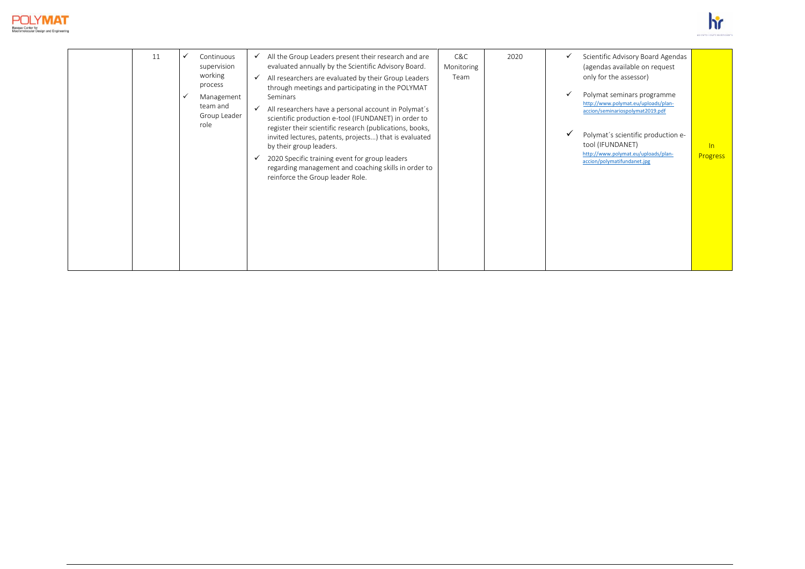



|  | 11 |  | Continuous<br>supervision<br>working<br>process<br>Management<br>team and<br>Group Leader<br>role | ✓<br>$\checkmark$<br>$\checkmark$ | All the Group Leaders present their research and are<br>evaluated annually by the Scientific Advisory Board.<br>All researchers are evaluated by their Group Leaders<br>through meetings and participating in the POLYMAT<br>Seminars<br>All researchers have a personal account in Polymat's<br>scientific production e-tool (IFUNDANET) in order to<br>register their scientific research (publications, books,<br>invited lectures, patents, projects) that is evaluated<br>by their group leaders.<br>2020 Specific training event for group leaders<br>regarding management and coaching skills in order to<br>reinforce the Group leader Role. | C&C<br>Monitoring<br>Team | 2020 | $\checkmark$<br>$\checkmark$<br>$\checkmark$ | Scientific Advisory Board Agendas<br>(agendas available on request<br>only for the assessor)<br>Polymat seminars programme<br>http://www.polymat.eu/uploads/plan-<br>accion/seminariospolymat2019.pdf<br>Polymat's scientific production e-<br>tool (IFUNDANET)<br>http://www.polymat.eu/uploads/plan-<br>accion/polymatifundanet.jpg | ln<br><b>Progress</b> |
|--|----|--|---------------------------------------------------------------------------------------------------|-----------------------------------|------------------------------------------------------------------------------------------------------------------------------------------------------------------------------------------------------------------------------------------------------------------------------------------------------------------------------------------------------------------------------------------------------------------------------------------------------------------------------------------------------------------------------------------------------------------------------------------------------------------------------------------------------|---------------------------|------|----------------------------------------------|---------------------------------------------------------------------------------------------------------------------------------------------------------------------------------------------------------------------------------------------------------------------------------------------------------------------------------------|-----------------------|
|--|----|--|---------------------------------------------------------------------------------------------------|-----------------------------------|------------------------------------------------------------------------------------------------------------------------------------------------------------------------------------------------------------------------------------------------------------------------------------------------------------------------------------------------------------------------------------------------------------------------------------------------------------------------------------------------------------------------------------------------------------------------------------------------------------------------------------------------------|---------------------------|------|----------------------------------------------|---------------------------------------------------------------------------------------------------------------------------------------------------------------------------------------------------------------------------------------------------------------------------------------------------------------------------------------|-----------------------|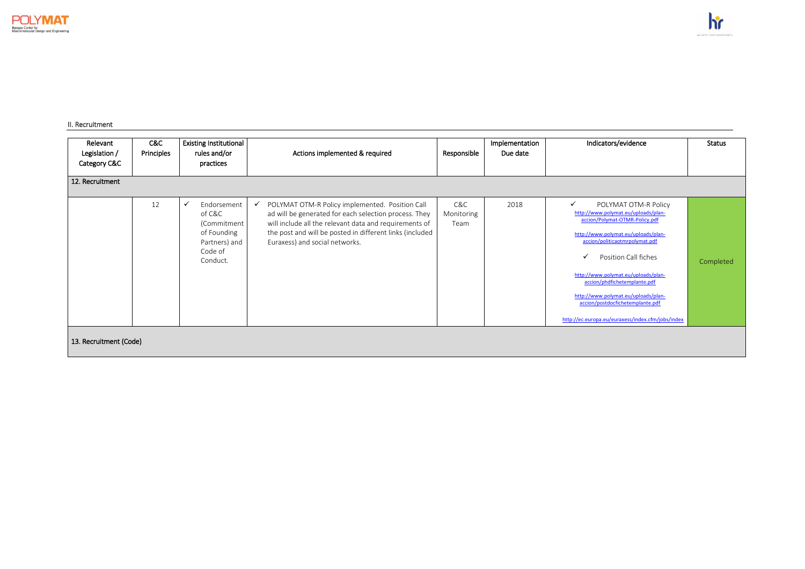#### II. Recruitment

| Relevant<br>Legislation /<br>Category C&C<br>12. Recruitment | C&C<br>Principles      | <b>Existing Institutional</b><br>rules and/or<br>practices                                  | Actions implemented & required<br>Responsible                                                                                                                                                                                                                                    |                           | Implementation<br>Due date | Indicators/evidence                                                                                                                                                                                                                                                                                                                                                                                                   | <b>Status</b> |  |  |  |  |
|--------------------------------------------------------------|------------------------|---------------------------------------------------------------------------------------------|----------------------------------------------------------------------------------------------------------------------------------------------------------------------------------------------------------------------------------------------------------------------------------|---------------------------|----------------------------|-----------------------------------------------------------------------------------------------------------------------------------------------------------------------------------------------------------------------------------------------------------------------------------------------------------------------------------------------------------------------------------------------------------------------|---------------|--|--|--|--|
|                                                              | 12                     | Endorsement<br>of C&C<br>(Commitment<br>of Founding<br>Partners) and<br>Code of<br>Conduct. | POLYMAT OTM-R Policy implemented. Position Call<br>$\checkmark$<br>ad will be generated for each selection process. They<br>will include all the relevant data and requirements of<br>the post and will be posted in different links (included<br>Euraxess) and social networks. | C&C<br>Monitoring<br>Team | 2018                       | POLYMAT OTM-R Policy<br>$\checkmark$<br>http://www.polymat.eu/uploads/plan-<br>accion/Polymat-OTMR-Policy.pdf<br>http://www.polymat.eu/uploads/plan-<br>accion/politicaotmrpolymat.pdf<br>Position Call fiches<br>http://www.polymat.eu/uploads/plan-<br>accion/phdfichetemplante.pdf<br>http://www.polymat.eu/uploads/plan-<br>accion/postdocfichetemplante.pdf<br>http://ec.europa.eu/euraxess/index.cfm/jobs/index | Completed     |  |  |  |  |
|                                                              | 13. Recruitment (Code) |                                                                                             |                                                                                                                                                                                                                                                                                  |                           |                            |                                                                                                                                                                                                                                                                                                                                                                                                                       |               |  |  |  |  |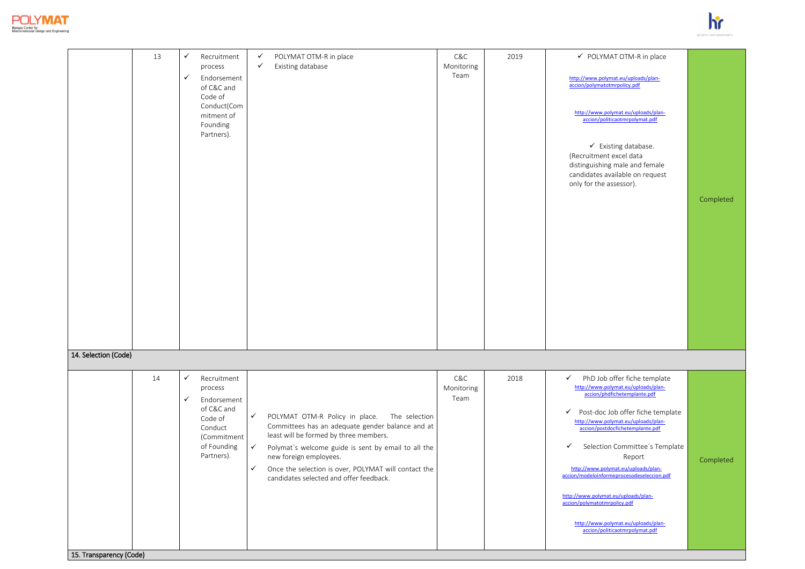



| 13                            | $\checkmark$<br>$\checkmark$ | Recruitment<br>process<br>Endorsement<br>of C&C and<br>Code of<br>Conduct(Com<br>mitment of<br>Founding<br>Partners). | $\checkmark$<br>POLYMAT OTM-R in place<br>$\checkmark$<br>Existing database                                                                                                                                                                                                                                                                                                       | C&C<br>Monitoring<br>Team | 2019 | ✔ POLYMAT OTM-R in place<br>http://www.polymat.eu/uploads/plan-<br>accion/polymatotmrpolicy.pdf<br>http://www.polymat.eu/uploads/plan-<br>accion/politicaotmrpolymat.pdf<br>$\checkmark$ Existing database.<br>(Recruitment excel data<br>distinguishing male and female<br>candidates available on request<br>only for the assessor).                                                                                                                                                                                         | Completed |
|-------------------------------|------------------------------|-----------------------------------------------------------------------------------------------------------------------|-----------------------------------------------------------------------------------------------------------------------------------------------------------------------------------------------------------------------------------------------------------------------------------------------------------------------------------------------------------------------------------|---------------------------|------|--------------------------------------------------------------------------------------------------------------------------------------------------------------------------------------------------------------------------------------------------------------------------------------------------------------------------------------------------------------------------------------------------------------------------------------------------------------------------------------------------------------------------------|-----------|
| 14. Selection (Code)          |                              |                                                                                                                       |                                                                                                                                                                                                                                                                                                                                                                                   |                           |      |                                                                                                                                                                                                                                                                                                                                                                                                                                                                                                                                |           |
| 14<br>15. Transparency (Code) | $\checkmark$<br>✓            | Recruitment<br>process<br>Endorsement<br>of C&C and<br>Code of<br>Conduct<br>(Commitment<br>of Founding<br>Partners). | $\checkmark$<br>POLYMAT OTM-R Policy in place.<br>The selection<br>Committees has an adequate gender balance and at<br>least will be formed by three members.<br>$\checkmark$<br>Polymat's welcome guide is sent by email to all the<br>new foreign employees.<br>$\checkmark$<br>Once the selection is over, POLYMAT will contact the<br>candidates selected and offer feedback. | C&C<br>Monitoring<br>Team | 2018 | ✓<br>PhD Job offer fiche template<br>http://www.polymat.eu/uploads/plan-<br>accion/phdfichetemplante.pdf<br>Post-doc Job offer fiche template<br>✓<br>http://www.polymat.eu/uploads/plan-<br>accion/postdocfichetemplante.pdf<br>$\checkmark$<br>Selection Committee's Template<br>Report<br>http://www.polymat.eu/uploads/plan-<br>accion/modeloinformeprocesodeseleccion.pdf<br>http://www.polymat.eu/uploads/plan-<br>accion/polymatotmrpolicy.pdf<br>http://www.polymat.eu/uploads/plan-<br>accion/politicaotmrpolymat.pdf | Completed |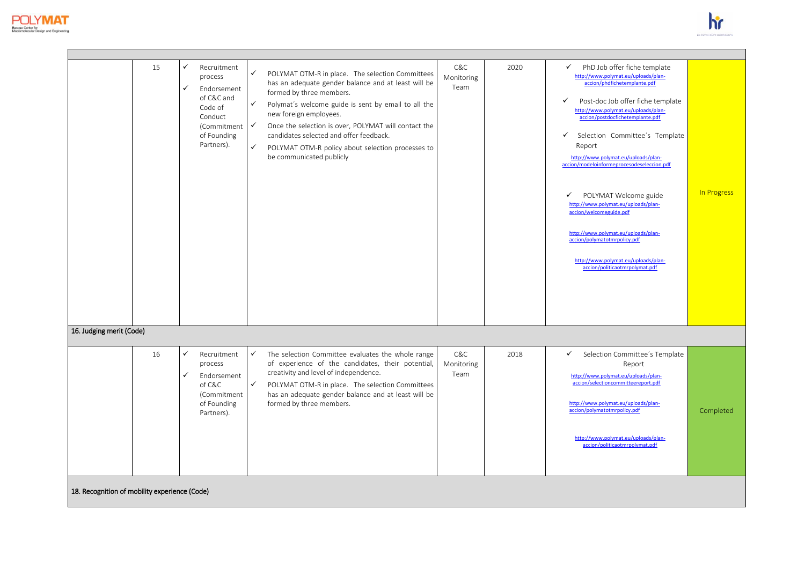



|                                               | 15 | ✓<br>✓            | Recruitment<br>process<br>Endorsement<br>of C&C and<br>Code of<br>Conduct<br>(Commitment √<br>of Founding<br>Partners). | $\checkmark$<br>$\checkmark$<br>$\checkmark$ | POLYMAT OTM-R in place. The selection Committees<br>has an adequate gender balance and at least will be<br>formed by three members.<br>Polymat's welcome guide is sent by email to all the<br>new foreign employees.<br>Once the selection is over, POLYMAT will contact the<br>candidates selected and offer feedback.<br>POLYMAT OTM-R policy about selection processes to<br>be communicated publicly | C&C<br>Monitoring<br>Team | 2020 | PhD Job offer fiche template<br>$\checkmark$<br>http://www.polymat.eu/uploads/plan-<br>accion/phdfichetemplante.pdf<br>Post-doc Job offer fiche template<br>$\checkmark$<br>http://www.polymat.eu/uploads/plan-<br>accion/postdocfichetemplante.pdf<br>$\checkmark$<br>Selection Committee's Template<br>Report<br>http://www.polymat.eu/uploads/plan-<br>accion/modeloinformeprocesodeseleccion.pdf<br>POLYMAT Welcome guide<br>✓<br>http://www.polymat.eu/uploads/plan-<br>accion/welcomeguide.pdf<br>http://www.polymat.eu/uploads/plan-<br>accion/polymatotmrpolicy.pdf<br>http://www.polymat.eu/uploads/plan-<br>accion/politicaotmrpolymat.pdf | In Progress |
|-----------------------------------------------|----|-------------------|-------------------------------------------------------------------------------------------------------------------------|----------------------------------------------|----------------------------------------------------------------------------------------------------------------------------------------------------------------------------------------------------------------------------------------------------------------------------------------------------------------------------------------------------------------------------------------------------------|---------------------------|------|------------------------------------------------------------------------------------------------------------------------------------------------------------------------------------------------------------------------------------------------------------------------------------------------------------------------------------------------------------------------------------------------------------------------------------------------------------------------------------------------------------------------------------------------------------------------------------------------------------------------------------------------------|-------------|
| 16. Judging merit (Code)                      |    |                   |                                                                                                                         |                                              |                                                                                                                                                                                                                                                                                                                                                                                                          |                           |      |                                                                                                                                                                                                                                                                                                                                                                                                                                                                                                                                                                                                                                                      |             |
|                                               | 16 | $\checkmark$<br>✓ | Recruitment<br>process<br>Endorsement<br>of C&C<br>(Commitment<br>of Founding<br>Partners).                             | ✓<br>$\checkmark$                            | The selection Committee evaluates the whole range<br>of experience of the candidates, their potential,<br>creativity and level of independence.<br>POLYMAT OTM-R in place. The selection Committees<br>has an adequate gender balance and at least will be<br>formed by three members.                                                                                                                   | C&C<br>Monitoring<br>Team | 2018 | ✓<br>Selection Committee's Template<br>Report<br>http://www.polymat.eu/uploads/plan-<br>accion/selectioncommitteereport.pdf<br>http://www.polymat.eu/uploads/plan-<br>accion/polymatotmrpolicy.pdf<br>http://www.polymat.eu/uploads/plan-<br>accion/politicaotmrpolymat.pdf                                                                                                                                                                                                                                                                                                                                                                          | Completed   |
| 18. Recognition of mobility experience (Code) |    |                   |                                                                                                                         |                                              |                                                                                                                                                                                                                                                                                                                                                                                                          |                           |      |                                                                                                                                                                                                                                                                                                                                                                                                                                                                                                                                                                                                                                                      |             |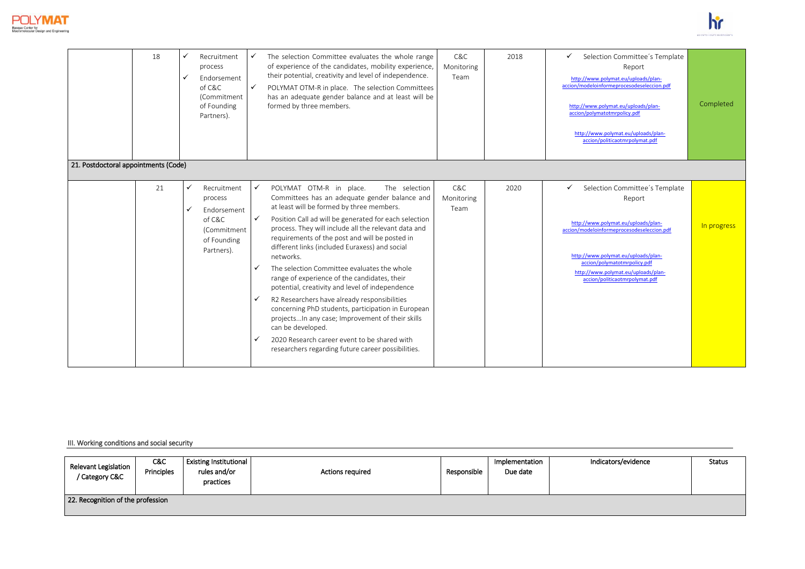



|                                      | 18 |   | Recruitment<br>process<br>Endorsement<br>of C&C<br>(Commitment<br>of Founding<br>Partners). | $\checkmark$<br>$\checkmark$ | The selection Committee evaluates the whole range<br>of experience of the candidates, mobility experience,<br>their potential, creativity and level of independence.<br>POLYMAT OTM-R in place. The selection Committees<br>has an adequate gender balance and at least will be<br>formed by three members.                                                                                                                                                                                                                                                                                                                                                                                                                                                                                                      | C&C<br>Monitoring<br>Team | 2018 | Selection Committee's Template<br>✓<br>Report<br>http://www.polymat.eu/uploads/plan-<br>accion/modeloinformeprocesodeseleccion.pdf<br>http://www.polymat.eu/uploads/plan-<br>accion/polymatotmrpolicy.pdf<br>http://www.polymat.eu/uploads/plan-<br>accion/politicaotmrpolymat.pdf | Completed   |
|--------------------------------------|----|---|---------------------------------------------------------------------------------------------|------------------------------|------------------------------------------------------------------------------------------------------------------------------------------------------------------------------------------------------------------------------------------------------------------------------------------------------------------------------------------------------------------------------------------------------------------------------------------------------------------------------------------------------------------------------------------------------------------------------------------------------------------------------------------------------------------------------------------------------------------------------------------------------------------------------------------------------------------|---------------------------|------|------------------------------------------------------------------------------------------------------------------------------------------------------------------------------------------------------------------------------------------------------------------------------------|-------------|
| 21. Postdoctoral appointments (Code) |    |   |                                                                                             |                              |                                                                                                                                                                                                                                                                                                                                                                                                                                                                                                                                                                                                                                                                                                                                                                                                                  |                           |      |                                                                                                                                                                                                                                                                                    |             |
|                                      | 21 | ✓ | Recruitment<br>process<br>Endorsement<br>of C&C<br>(Commitment<br>of Founding<br>Partners). |                              | The selection<br>POLYMAT OTM-R in place.<br>Committees has an adequate gender balance and<br>at least will be formed by three members.<br>Position Call ad will be generated for each selection<br>process. They will include all the relevant data and<br>requirements of the post and will be posted in<br>different links (included Euraxess) and social<br>networks.<br>The selection Committee evaluates the whole<br>range of experience of the candidates, their<br>potential, creativity and level of independence<br>R2 Researchers have already responsibilities<br>concerning PhD students, participation in European<br>projects In any case; Improvement of their skills<br>can be developed.<br>2020 Research career event to be shared with<br>researchers regarding future career possibilities. | C&C<br>Monitoring<br>Team | 2020 | Selection Committee's Template<br>✓<br>Report<br>http://www.polymat.eu/uploads/plan-<br>accion/modeloinformeprocesodeseleccion.pdf<br>http://www.polymat.eu/uploads/plan-<br>accion/polymatotmrpolicy.pdf<br>http://www.polymat.eu/uploads/plan-<br>accion/politicaotmrpolymat.pdf | In progress |

III. Working conditions and social security

| Relevant Legislation<br>Category C&C | C&C<br>Principles | <b>Existing Institutional</b><br>rules and/or<br>practices | <b>Actions required</b> | Responsible | Implementation<br>Due date | Indicators/evidence | <b>Status</b> |  |  |  |
|--------------------------------------|-------------------|------------------------------------------------------------|-------------------------|-------------|----------------------------|---------------------|---------------|--|--|--|
| 22. Recognition of the profession    |                   |                                                            |                         |             |                            |                     |               |  |  |  |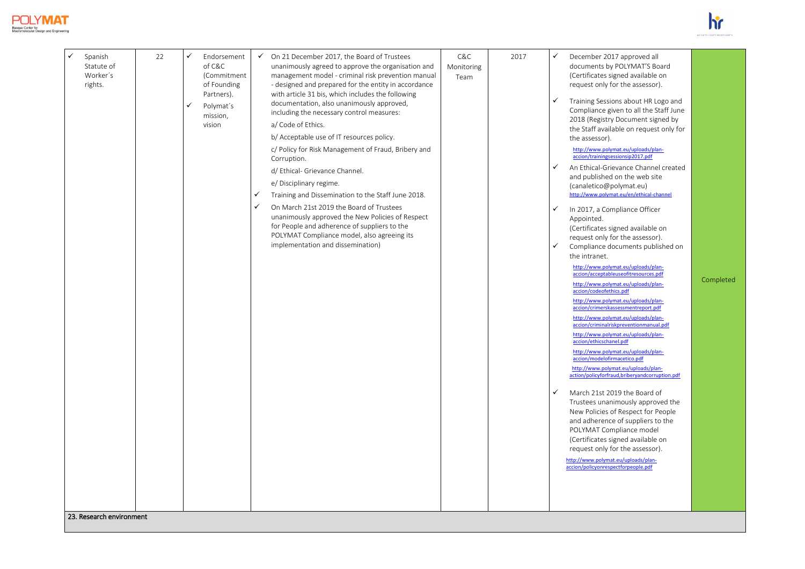



| Statute of<br>Worker's<br>rights. |  | ✓ | of C&C<br>(Commitment<br>of Founding<br>Partners).<br>Polymat's<br>mission,<br>vision | $\checkmark$<br>$\checkmark$ | unanimously agreed to approve the organisation and<br>management model - criminal risk prevention manual<br>- designed and prepared for the entity in accordance<br>with article 31 bis, which includes the following<br>documentation, also unanimously approved,<br>including the necessary control measures:<br>a/ Code of Ethics.<br>b/ Acceptable use of IT resources policy.<br>c/ Policy for Risk Management of Fraud, Bribery and<br>Corruption.<br>d/ Ethical- Grievance Channel.<br>e/ Disciplinary regime.<br>Training and Dissemination to the Staff June 2018.<br>On March 21st 2019 the Board of Trustees<br>unanimously approved the New Policies of Respect<br>for People and adherence of suppliers to the<br>POLYMAT Compliance model, also agreeing its<br>implementation and dissemination) | Monitoring<br>Team |  | ✓<br>✓<br>$\checkmark$<br>$\checkmark$<br>$\checkmark$ | documents by POLYMAT'S Board<br>(Certificates signed available on<br>request only for the assessor).<br>Training Sessions about HR Logo and<br>Compliance given to all the Staff June<br>2018 (Registry Document signed by<br>the Staff available on request only for<br>the assessor).<br>http://www.polymat.eu/uploads/plan-<br>accion/trainingsessionsip2017.pdf<br>An Ethical-Grievance Channel created<br>and published on the web site<br>(canaletico@polymat.eu)<br>http://www.polymat.eu/en/ethical-channel<br>In 2017, a Compliance Officer<br>Appointed.<br>(Certificates signed available on<br>request only for the assessor).<br>Compliance documents published on<br>the intranet.<br>http://www.polymat.eu/uploads/plan-<br>accion/acceptableuseofitresources.pdf<br>http://www.polymat.eu/uploads/plan-<br>accion/codeofethics.pdf<br>http://www.polymat.eu/uploads/plan-<br>accion/crimerskassessmentreport.pdf<br>http://www.polymat.eu/uploads/plan-<br>accion/criminalriskpreventionmanual.pdf<br>http://www.polymat.eu/uploads/plan-<br>accion/ethicschanel.pdf<br>http://www.polymat.eu/uploads/plan-<br>accion/modelofirmacetico.pdf<br>http://www.polymat.eu/uploads/plan-<br>action/policyforfraud,briberyandcorruption.pdf<br>March 21st 2019 the Board of<br>Trustees unanimously approved the<br>New Policies of Respect for People<br>and adherence of suppliers to the<br>POLYMAT Compliance model<br>(Certificates signed available on<br>request only for the assessor).<br>http://www.polymat.eu/uploads/plan-<br>accion/policyonrespectforpeople.pdf | Completed |
|-----------------------------------|--|---|---------------------------------------------------------------------------------------|------------------------------|-----------------------------------------------------------------------------------------------------------------------------------------------------------------------------------------------------------------------------------------------------------------------------------------------------------------------------------------------------------------------------------------------------------------------------------------------------------------------------------------------------------------------------------------------------------------------------------------------------------------------------------------------------------------------------------------------------------------------------------------------------------------------------------------------------------------|--------------------|--|--------------------------------------------------------|----------------------------------------------------------------------------------------------------------------------------------------------------------------------------------------------------------------------------------------------------------------------------------------------------------------------------------------------------------------------------------------------------------------------------------------------------------------------------------------------------------------------------------------------------------------------------------------------------------------------------------------------------------------------------------------------------------------------------------------------------------------------------------------------------------------------------------------------------------------------------------------------------------------------------------------------------------------------------------------------------------------------------------------------------------------------------------------------------------------------------------------------------------------------------------------------------------------------------------------------------------------------------------------------------------------------------------------------------------------------------------------------------------------------------------------------------------------------------------------------------------------------------------------------------------------------------------------|-----------|
|-----------------------------------|--|---|---------------------------------------------------------------------------------------|------------------------------|-----------------------------------------------------------------------------------------------------------------------------------------------------------------------------------------------------------------------------------------------------------------------------------------------------------------------------------------------------------------------------------------------------------------------------------------------------------------------------------------------------------------------------------------------------------------------------------------------------------------------------------------------------------------------------------------------------------------------------------------------------------------------------------------------------------------|--------------------|--|--------------------------------------------------------|----------------------------------------------------------------------------------------------------------------------------------------------------------------------------------------------------------------------------------------------------------------------------------------------------------------------------------------------------------------------------------------------------------------------------------------------------------------------------------------------------------------------------------------------------------------------------------------------------------------------------------------------------------------------------------------------------------------------------------------------------------------------------------------------------------------------------------------------------------------------------------------------------------------------------------------------------------------------------------------------------------------------------------------------------------------------------------------------------------------------------------------------------------------------------------------------------------------------------------------------------------------------------------------------------------------------------------------------------------------------------------------------------------------------------------------------------------------------------------------------------------------------------------------------------------------------------------------|-----------|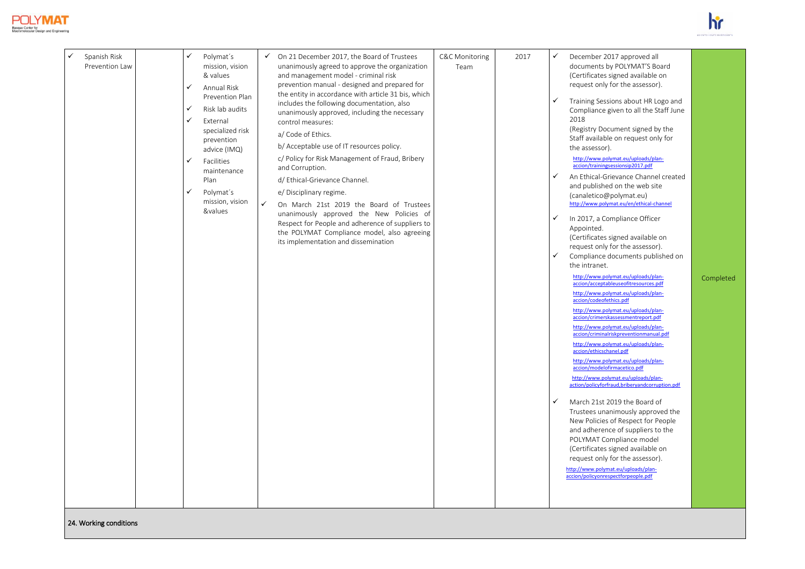



| Spanish Risk<br>Prevention Law | ✓<br>Polymat's<br>mission, vision<br>& values<br><b>Annual Risk</b><br>✓<br>Prevention Plan<br>✓<br>Risk lab audits<br>✓<br>External<br>specialized risk<br>prevention<br>advice (IMQ)<br>✓<br>Facilities<br>maintenance<br>Plan<br>✓<br>Polymat's<br>mission, vision<br>&values | $\checkmark$ On 21 December 2017, the Board of Trustees<br>unanimously agreed to approve the organization<br>and management model - criminal risk<br>prevention manual - designed and prepared for<br>the entity in accordance with article 31 bis, which<br>includes the following documentation, also<br>unanimously approved, including the necessary<br>control measures:<br>a/ Code of Ethics.<br>b/ Acceptable use of IT resources policy.<br>c/ Policy for Risk Management of Fraud, Bribery<br>and Corruption.<br>d/ Ethical-Grievance Channel.<br>e/ Disciplinary regime.<br>$\checkmark$<br>On March 21st 2019 the Board of Trustees<br>unanimously approved the New Policies of<br>Respect for People and adherence of suppliers to<br>the POLYMAT Compliance model, also agreeing<br>its implementation and dissemination | <b>C&amp;C Monitoring</b><br>Team | 2017 | ✓<br>December 2017 approved all<br>documents by POLYMAT'S Board<br>(Certificates signed available on<br>request only for the assessor).<br>$\checkmark$<br>Training Sessions about HR Logo and<br>Compliance given to all the Staff June<br>2018<br>(Registry Document signed by the<br>Staff available on request only for<br>the assessor).<br>http://www.polymat.eu/uploads/plan-<br>accion/trainingsessionsip2017.pdf<br>$\checkmark$<br>An Ethical-Grievance Channel created<br>and published on the web site<br>(canaletico@polymat.eu)<br>http://www.polymat.eu/en/ethical-channel<br>$\checkmark$<br>In 2017, a Compliance Officer<br>Appointed.<br>(Certificates signed available on<br>request only for the assessor).<br>Compliance documents published on<br>$\checkmark$<br>the intranet.<br>http://www.polymat.eu/uploads/plan-<br>accion/acceptableuseofitresources.pdf<br>http://www.polymat.eu/uploads/plan-<br>accion/codeofethics.pdf<br>http://www.polymat.eu/uploads/plan-<br>accion/crimerskassessmentreport.pdf<br>http://www.polymat.eu/uploads/plan-<br>accion/criminalriskpreventionmanual.pdf<br>http://www.polymat.eu/uploads/plan-<br>accion/ethicschanel.pdf<br>http://www.polymat.eu/uploads/plan-<br>accion/modelofirmacetico.pdf<br>http://www.polymat.eu/uploads/plan-<br>action/policyforfraud,briberyandcorruption.pdf<br>$\checkmark$<br>March 21st 2019 the Board of<br>Trustees unanimously approved the<br>New Policies of Respect for People<br>and adherence of suppliers to the<br>POLYMAT Compliance model<br>(Certificates signed available on<br>request only for the assessor).<br>http://www.polymat.eu/uploads/plan-<br>accion/policyonrespectforpeople.pdf | Completed |
|--------------------------------|----------------------------------------------------------------------------------------------------------------------------------------------------------------------------------------------------------------------------------------------------------------------------------|---------------------------------------------------------------------------------------------------------------------------------------------------------------------------------------------------------------------------------------------------------------------------------------------------------------------------------------------------------------------------------------------------------------------------------------------------------------------------------------------------------------------------------------------------------------------------------------------------------------------------------------------------------------------------------------------------------------------------------------------------------------------------------------------------------------------------------------|-----------------------------------|------|--------------------------------------------------------------------------------------------------------------------------------------------------------------------------------------------------------------------------------------------------------------------------------------------------------------------------------------------------------------------------------------------------------------------------------------------------------------------------------------------------------------------------------------------------------------------------------------------------------------------------------------------------------------------------------------------------------------------------------------------------------------------------------------------------------------------------------------------------------------------------------------------------------------------------------------------------------------------------------------------------------------------------------------------------------------------------------------------------------------------------------------------------------------------------------------------------------------------------------------------------------------------------------------------------------------------------------------------------------------------------------------------------------------------------------------------------------------------------------------------------------------------------------------------------------------------------------------------------------------------------------------------------------------------------------------------------------------|-----------|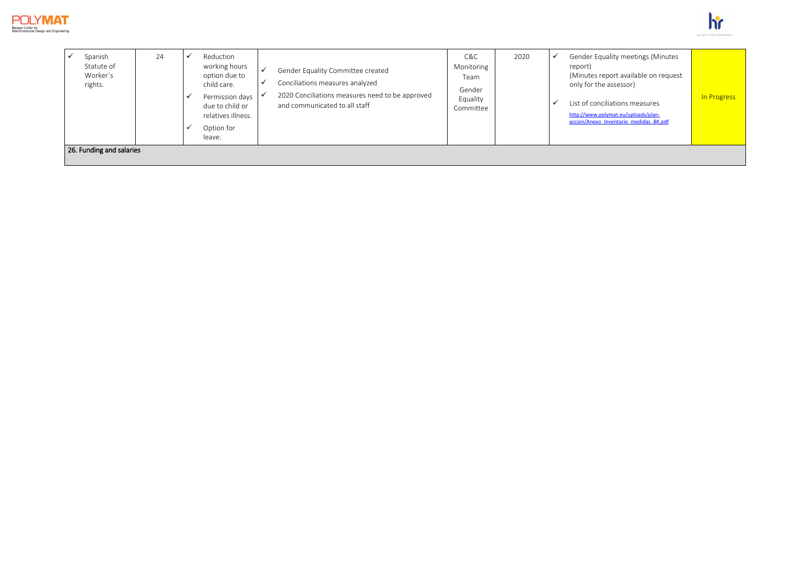



| Spanish<br>Statute of<br>Worker's<br>rights. | 24 | Reduction<br>working hours<br>option due to<br>child care.<br>Permission days<br>due to child or<br>relatives illness.<br>Option for<br>leave. | ✔<br>$\checkmark$ | Gender Equality Committee created<br>Conciliations measures analyzed<br>2020 Conciliations measures need to be approved<br>and communicated to all staff | C&C<br>Monitoring<br>Team<br>Gender<br>Equality<br>Committee | 2020 | Gender Equality meetings (Minutes<br>report)<br>(Minutes report available on request<br>only for the assessor)<br>List of conciliations measures<br>http://www.polymat.eu/uploads/plan-<br>accion/Anexo Inventario medidas BK.pdf | In Progress |
|----------------------------------------------|----|------------------------------------------------------------------------------------------------------------------------------------------------|-------------------|----------------------------------------------------------------------------------------------------------------------------------------------------------|--------------------------------------------------------------|------|-----------------------------------------------------------------------------------------------------------------------------------------------------------------------------------------------------------------------------------|-------------|
| 26. Funding and salaries                     |    |                                                                                                                                                |                   |                                                                                                                                                          |                                                              |      |                                                                                                                                                                                                                                   |             |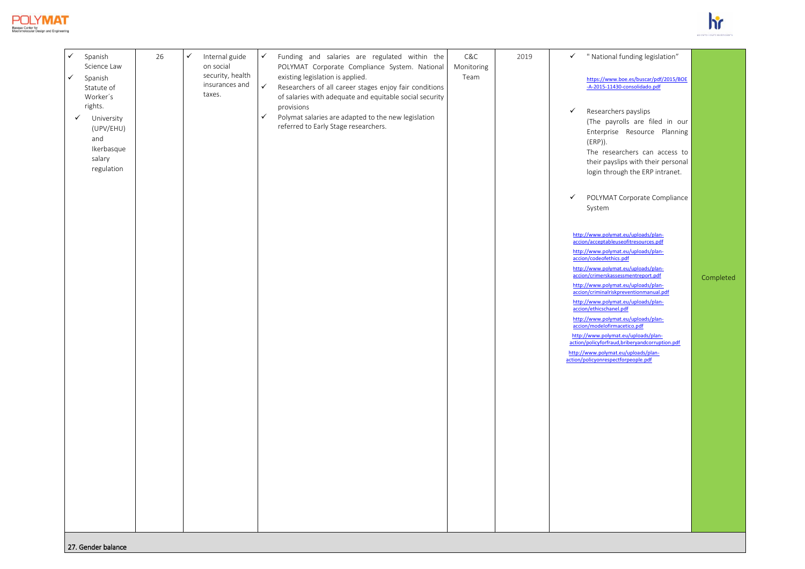

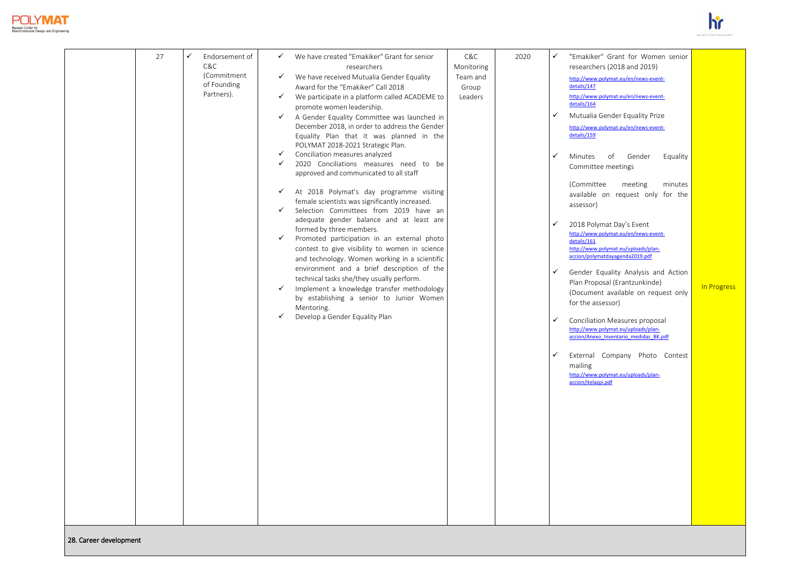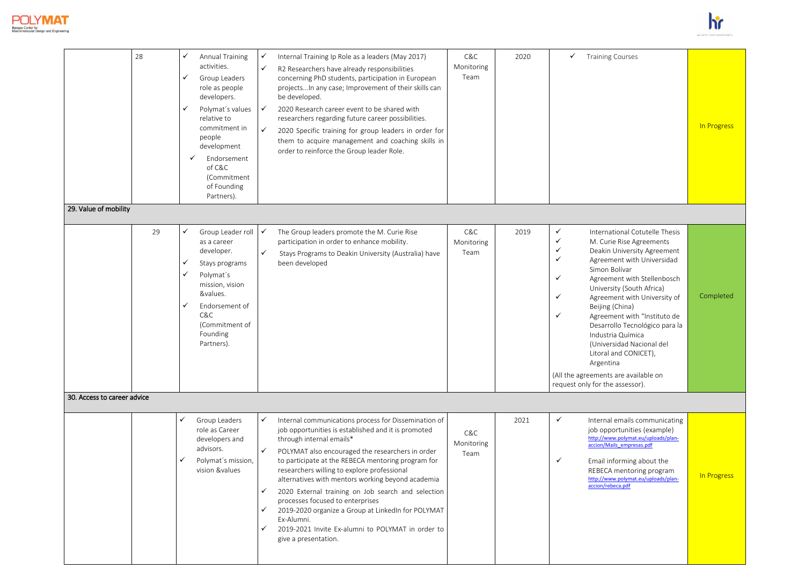

|                             | 28 | ✓<br>✓<br>$\checkmark$ | <b>Annual Training</b><br>activities.<br>Group Leaders<br>role as people<br>developers.<br>Polymat's values<br>relative to<br>commitment in<br>people<br>development<br>✓<br>Endorsement<br>of C&C<br>(Commitment<br>of Founding<br>Partners). | ✓<br>$\checkmark$<br>$\checkmark$<br>$\checkmark$                            | Internal Training Ip Role as a leaders (May 2017)<br>R2 Researchers have already responsibilities<br>concerning PhD students, participation in European<br>projects In any case; Improvement of their skills can<br>be developed.<br>2020 Research career event to be shared with<br>researchers regarding future career possibilities.<br>2020 Specific training for group leaders in order for<br>them to acquire management and coaching skills in<br>order to reinforce the Group leader Role.                                                                                               | C&C<br>Monitoring<br>Team | 2020 | $\checkmark$                                                                           | <b>Training Courses</b>                                                                                                                                                                                                                                                                                                                                                                                                                                                                      | In Progress |
|-----------------------------|----|------------------------|------------------------------------------------------------------------------------------------------------------------------------------------------------------------------------------------------------------------------------------------|------------------------------------------------------------------------------|--------------------------------------------------------------------------------------------------------------------------------------------------------------------------------------------------------------------------------------------------------------------------------------------------------------------------------------------------------------------------------------------------------------------------------------------------------------------------------------------------------------------------------------------------------------------------------------------------|---------------------------|------|----------------------------------------------------------------------------------------|----------------------------------------------------------------------------------------------------------------------------------------------------------------------------------------------------------------------------------------------------------------------------------------------------------------------------------------------------------------------------------------------------------------------------------------------------------------------------------------------|-------------|
| 29. Value of mobility       |    |                        |                                                                                                                                                                                                                                                |                                                                              |                                                                                                                                                                                                                                                                                                                                                                                                                                                                                                                                                                                                  |                           |      |                                                                                        |                                                                                                                                                                                                                                                                                                                                                                                                                                                                                              |             |
|                             | 29 | ✓<br>✓<br>✓<br>✓       | Group Leader roll<br>as a career<br>developer.<br>Stays programs<br>Polymat's<br>mission, vision<br>&values.<br>Endorsement of<br>C&C<br>(Commitment of<br>Founding<br>Partners).                                                              | $\checkmark$<br>$\checkmark$                                                 | The Group leaders promote the M. Curie Rise<br>participation in order to enhance mobility.<br>Stays Programs to Deakin University (Australia) have<br>been developed                                                                                                                                                                                                                                                                                                                                                                                                                             | C&C<br>Monitoring<br>Team | 2019 | $\checkmark$<br>$\checkmark$<br>✓<br>$\checkmark$<br>$\checkmark$<br>✓<br>$\checkmark$ | International Cotutelle Thesis<br>M. Curie Rise Agreements<br>Deakin University Agreement<br>Agreement with Universidad<br>Simon Bolívar<br>Agreement with Stellenbosch<br>University (South Africa)<br>Agreement with University of<br>Beijing (China)<br>Agreement with "Instituto de<br>Desarrollo Tecnológico para la<br>Industria Química<br>(Universidad Nacional del<br>Litoral and CONICET),<br>Argentina<br>(All the agreements are available on<br>request only for the assessor). | Completed   |
| 30. Access to career advice |    |                        |                                                                                                                                                                                                                                                |                                                                              |                                                                                                                                                                                                                                                                                                                                                                                                                                                                                                                                                                                                  |                           |      |                                                                                        |                                                                                                                                                                                                                                                                                                                                                                                                                                                                                              |             |
|                             |    | $\checkmark$           | Group Leaders<br>role as Career<br>developers and<br>advisors.<br>Polymat's mission,<br>vision &values                                                                                                                                         | $\checkmark$<br>$\checkmark$<br>$\checkmark$<br>$\checkmark$<br>$\checkmark$ | Internal communications process for Dissemination of<br>job opportunities is established and it is promoted<br>through internal emails*<br>POLYMAT also encouraged the researchers in order<br>to participate at the REBECA mentoring program for<br>researchers willing to explore professional<br>alternatives with mentors working beyond academia<br>2020 External training on Job search and selection<br>processes focused to enterprises<br>2019-2020 organize a Group at LinkedIn for POLYMAT<br>Ex-Alumni.<br>2019-2021 Invite Ex-alumni to POLYMAT in order to<br>give a presentation. | C&C<br>Monitoring<br>Team | 2021 | $\checkmark$<br>✓                                                                      | Internal emails communicating<br>job opportunities (example)<br>http://www.polymat.eu/uploads/plan-<br>accion/Mails empresas.pdf<br>Email informing about the<br>REBECA mentoring program<br>http://www.polymat.eu/uploads/plan-<br>accion/rebeca.pdf                                                                                                                                                                                                                                        | In Progress |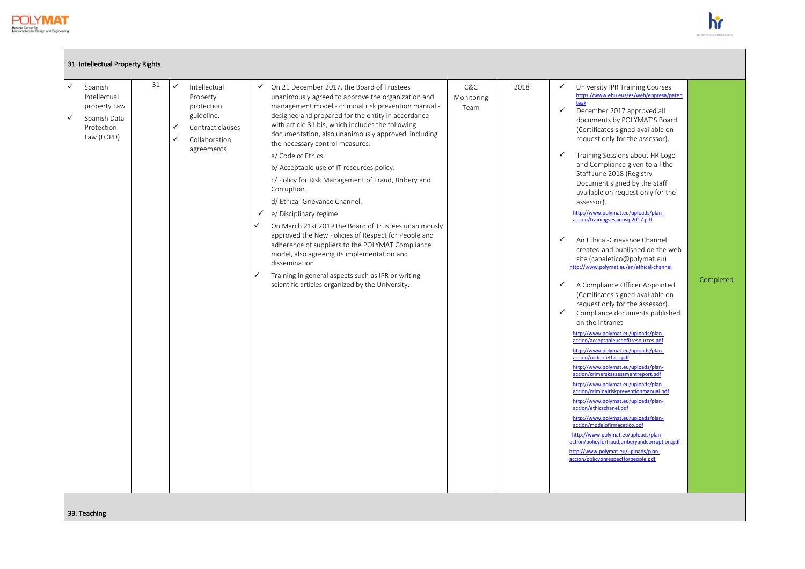$\blacksquare$ 



| 31. Intellectual Property Rights                                                                                                                                                                                                                               |                                                                                                                                                                                                                                                                                                                                                                                                                                                                                                                                                                                                                                                                                                                                                                                                                                                                                                                                                        |                                   |                                                                                                                                                                                                                                                                                                                                                                                                                                                                                                                                                                                                                                                                                                                                                                                                                                                                                                                                                                                                                                                                                                                                                                                                                                                                                                                                                                                                                                                                                                                                    |           |
|----------------------------------------------------------------------------------------------------------------------------------------------------------------------------------------------------------------------------------------------------------------|--------------------------------------------------------------------------------------------------------------------------------------------------------------------------------------------------------------------------------------------------------------------------------------------------------------------------------------------------------------------------------------------------------------------------------------------------------------------------------------------------------------------------------------------------------------------------------------------------------------------------------------------------------------------------------------------------------------------------------------------------------------------------------------------------------------------------------------------------------------------------------------------------------------------------------------------------------|-----------------------------------|------------------------------------------------------------------------------------------------------------------------------------------------------------------------------------------------------------------------------------------------------------------------------------------------------------------------------------------------------------------------------------------------------------------------------------------------------------------------------------------------------------------------------------------------------------------------------------------------------------------------------------------------------------------------------------------------------------------------------------------------------------------------------------------------------------------------------------------------------------------------------------------------------------------------------------------------------------------------------------------------------------------------------------------------------------------------------------------------------------------------------------------------------------------------------------------------------------------------------------------------------------------------------------------------------------------------------------------------------------------------------------------------------------------------------------------------------------------------------------------------------------------------------------|-----------|
| 31<br>$\checkmark$<br>$\checkmark$<br>Intellectual<br>Spanish<br>Intellectual<br>Property<br>protection<br>property Law<br>guideline.<br>$\checkmark$<br>Spanish Data<br>Protection<br>Contract clauses<br>✓<br>Law (LOPD)<br>✓<br>Collaboration<br>agreements | On 21 December 2017, the Board of Trustees<br>$\checkmark$<br>unanimously agreed to approve the organization and<br>management model - criminal risk prevention manual -<br>designed and prepared for the entity in accordance<br>with article 31 bis, which includes the following<br>documentation, also unanimously approved, including<br>the necessary control measures:<br>a/ Code of Ethics.<br>b/ Acceptable use of IT resources policy.<br>c/ Policy for Risk Management of Fraud, Bribery and<br>Corruption.<br>d/ Ethical-Grievance Channel.<br>$\checkmark$ e/ Disciplinary regime.<br>✓<br>On March 21st 2019 the Board of Trustees unanimously<br>approved the New Policies of Respect for People and<br>adherence of suppliers to the POLYMAT Compliance<br>model, also agreeing its implementation and<br>dissemination<br>✓<br>Training in general aspects such as IPR or writing<br>scientific articles organized by the University. | C&C<br>2018<br>Monitoring<br>Team | ✓<br>University IPR Training Courses<br>https://www.ehu.eus/es/web/enpresa/paten<br>teak<br>$\checkmark$<br>December 2017 approved all<br>documents by POLYMAT'S Board<br>(Certificates signed available on<br>request only for the assessor).<br>Training Sessions about HR Logo<br>$\checkmark$<br>and Compliance given to all the<br>Staff June 2018 (Registry<br>Document signed by the Staff<br>available on request only for the<br>assessor).<br>http://www.polymat.eu/uploads/plan-<br>accion/trainingsessionsip2017.pdf<br>$\checkmark$<br>An Ethical-Grievance Channel<br>created and published on the web<br>site (canaletico@polymat.eu)<br>http://www.polymat.eu/en/ethical-channel<br>A Compliance Officer Appointed.<br>$\checkmark$<br>(Certificates signed available on<br>request only for the assessor).<br>$\checkmark$<br>Compliance documents published<br>on the intranet<br>http://www.polymat.eu/uploads/plan-<br>accion/acceptableuseofitresources.pdf<br>http://www.polymat.eu/uploads/plan-<br>accion/codeofethics.pdf<br>http://www.polymat.eu/uploads/plan-<br>accion/crimerskassessmentreport.pdf<br>http://www.polymat.eu/uploads/plan-<br>accion/criminalriskpreventionmanual.pdf<br>http://www.polymat.eu/uploads/plan-<br>accion/ethicschanel.pdf<br>http://www.polymat.eu/uploads/plan-<br>accion/modelofirmacetico.pdf<br>http://www.polymat.eu/uploads/plan-<br>action/policyforfraud,briberyandcorruption.pdf<br>http://www.polymat.eu/uploads/plan-<br>accion/policyonrespectforpeople.pdf | Completed |
| 33. Teaching                                                                                                                                                                                                                                                   |                                                                                                                                                                                                                                                                                                                                                                                                                                                                                                                                                                                                                                                                                                                                                                                                                                                                                                                                                        |                                   |                                                                                                                                                                                                                                                                                                                                                                                                                                                                                                                                                                                                                                                                                                                                                                                                                                                                                                                                                                                                                                                                                                                                                                                                                                                                                                                                                                                                                                                                                                                                    |           |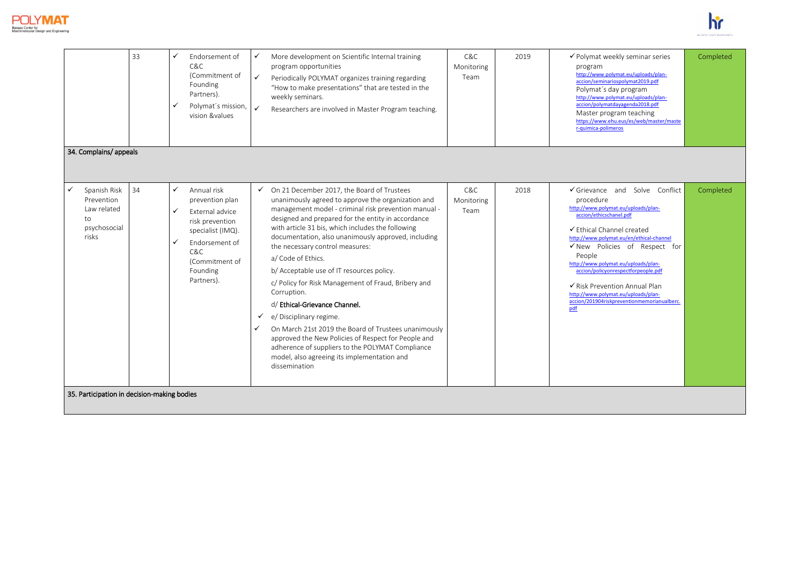



|                                                          | 33 | ✓<br>✓            | Endorsement of<br>C&C<br>(Commitment of<br>Founding<br>Partners).<br>Polymat's mission, v<br>vision &values                                            | $\checkmark$<br>$\checkmark$ | More development on Scientific Internal training<br>program opportunities<br>Periodically POLYMAT organizes training regarding<br>"How to make presentations" that are tested in the<br>weekly seminars.<br>Researchers are involved in Master Program teaching.                                                                                                                                                                                                                                                                                                                                                                                                                                                                                        | C&C<br>Monitoring<br>Team | 2019 | ✔ Polymat weekly seminar series<br>program<br>http://www.polymat.eu/uploads/plan-<br>accion/seminariospolymat2019.pdf<br>Polymat's day program<br>http://www.polymat.eu/uploads/plan-<br>accion/polymatdayagenda2018.pdf<br>Master program teaching<br>https://www.ehu.eus/es/web/master/maste<br>r-quimica-polimeros                                                                                      | Completed |
|----------------------------------------------------------|----|-------------------|--------------------------------------------------------------------------------------------------------------------------------------------------------|------------------------------|---------------------------------------------------------------------------------------------------------------------------------------------------------------------------------------------------------------------------------------------------------------------------------------------------------------------------------------------------------------------------------------------------------------------------------------------------------------------------------------------------------------------------------------------------------------------------------------------------------------------------------------------------------------------------------------------------------------------------------------------------------|---------------------------|------|------------------------------------------------------------------------------------------------------------------------------------------------------------------------------------------------------------------------------------------------------------------------------------------------------------------------------------------------------------------------------------------------------------|-----------|
| 34. Complains/ appeals                                   |    |                   |                                                                                                                                                        |                              |                                                                                                                                                                                                                                                                                                                                                                                                                                                                                                                                                                                                                                                                                                                                                         |                           |      |                                                                                                                                                                                                                                                                                                                                                                                                            |           |
| Spanish Risk<br>✓                                        | 34 | ✓                 | Annual risk                                                                                                                                            | ✓                            | On 21 December 2017, the Board of Trustees                                                                                                                                                                                                                                                                                                                                                                                                                                                                                                                                                                                                                                                                                                              | C&C                       | 2018 | √Grievance and Solve Conflict                                                                                                                                                                                                                                                                                                                                                                              | Completed |
| Prevention<br>Law related<br>to<br>psychosocial<br>risks |    | ✓<br>$\checkmark$ | prevention plan<br><b>External advice</b><br>risk prevention<br>specialist (IMQ).<br>Endorsement of<br>C&C<br>(Commitment of<br>Founding<br>Partners). | ✓<br>✓                       | unanimously agreed to approve the organization and<br>management model - criminal risk prevention manual -<br>designed and prepared for the entity in accordance<br>with article 31 bis, which includes the following<br>documentation, also unanimously approved, including<br>the necessary control measures:<br>a/ Code of Ethics.<br>b/ Acceptable use of IT resources policy.<br>c/ Policy for Risk Management of Fraud, Bribery and<br>Corruption.<br>d/ Ethical-Grievance Channel.<br>e/ Disciplinary regime.<br>On March 21st 2019 the Board of Trustees unanimously<br>approved the New Policies of Respect for People and<br>adherence of suppliers to the POLYMAT Compliance<br>model, also agreeing its implementation and<br>dissemination | Monitoring<br>Team        |      | procedure<br>http://www.polymat.eu/uploads/plan-<br>accion/ethicschanel.pdf<br>✔ Fthical Channel created<br>http://www.polymat.eu/en/ethical-channel<br>√New Policies of Respect for<br>People<br>http://www.polymat.eu/uploads/plan-<br>accion/policyonrespectforpeople.pdf<br>√ Risk Prevention Annual Plan<br>http://www.polymat.eu/uploads/plan-<br>accion/201904riskpreventionmemorianualberc.<br>pdf |           |
| 35. Participation in decision-making bodies              |    |                   |                                                                                                                                                        |                              |                                                                                                                                                                                                                                                                                                                                                                                                                                                                                                                                                                                                                                                                                                                                                         |                           |      |                                                                                                                                                                                                                                                                                                                                                                                                            |           |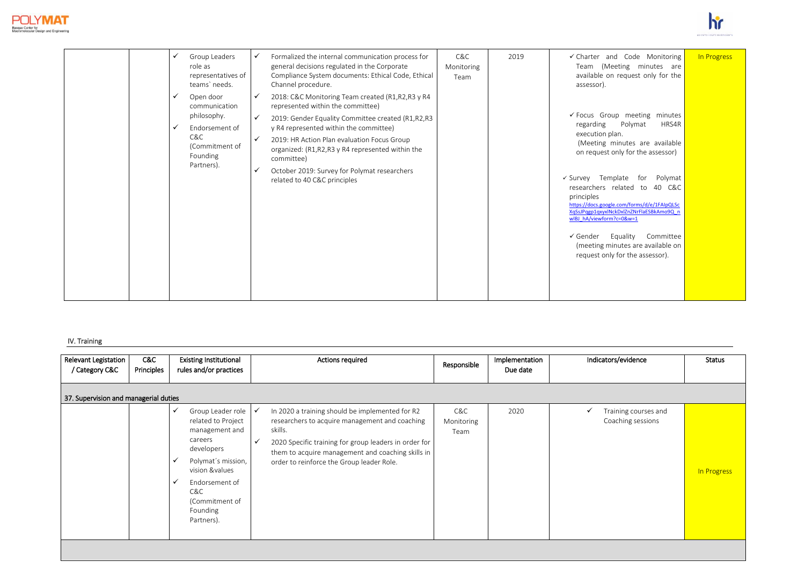



|  | Group Leaders<br>role as<br>representatives of<br>teams' needs.                                                |                             | Formalized the internal communication process for<br>general decisions regulated in the Corporate<br>Compliance System documents: Ethical Code, Ethical<br>Channel procedure.                                                                                                                                                                                                         | C&C<br>Monitoring<br>Team | 2019 | ✔ Charter and Code Monitoring<br>Team (Meeting minutes are<br>available on request only for the<br>assessor).                                                                                                                                                                                                                                                                                                                                                                                               | In Progress |
|--|----------------------------------------------------------------------------------------------------------------|-----------------------------|---------------------------------------------------------------------------------------------------------------------------------------------------------------------------------------------------------------------------------------------------------------------------------------------------------------------------------------------------------------------------------------|---------------------------|------|-------------------------------------------------------------------------------------------------------------------------------------------------------------------------------------------------------------------------------------------------------------------------------------------------------------------------------------------------------------------------------------------------------------------------------------------------------------------------------------------------------------|-------------|
|  | Open door<br>communication<br>philosophy.<br>Endorsement of<br>C&C<br>(Commitment of<br>Founding<br>Partners). | ✓<br>✓<br>$\checkmark$<br>✓ | 2018: C&C Monitoring Team created (R1,R2,R3 y R4<br>represented within the committee)<br>2019: Gender Equality Committee created (R1,R2,R3<br>y R4 represented within the committee)<br>2019: HR Action Plan evaluation Focus Group<br>organized: (R1,R2,R3 y R4 represented within the<br>committee)<br>October 2019: Survey for Polymat researchers<br>related to 40 C&C principles |                           |      | ✔ Focus Group meeting minutes<br>regarding<br>HRS4R<br>Polymat<br>execution plan.<br>(Meeting minutes are available<br>on request only for the assessor)<br>Template<br>for<br>Polymat<br>$\checkmark$ Survey<br>researchers related to 40 C&C<br>principles<br>https://docs.google.com/forms/d/e/1FAIpQLSc<br>XqSsJPqgp1qxyxlNckDxlZnZNrFlaESBkAmo9Q_n<br>wIBJ hA/viewform?c=0&w=1<br>Equality<br>Committee<br>$\checkmark$ Gender<br>(meeting minutes are available on<br>request only for the assessor). |             |

# IV. Training

| <b>Relevant Legistation</b><br>/ Category C&C | C&C<br>Principles | <b>Existing Institutional</b><br>rules and/or practices                                                                                                                                                              | <b>Actions required</b>                                                                                                                                                                                                                                                                 | Responsible               | Implementation<br>Due date | Indicators/evidence                                       | Status      |
|-----------------------------------------------|-------------------|----------------------------------------------------------------------------------------------------------------------------------------------------------------------------------------------------------------------|-----------------------------------------------------------------------------------------------------------------------------------------------------------------------------------------------------------------------------------------------------------------------------------------|---------------------------|----------------------------|-----------------------------------------------------------|-------------|
| 37. Supervision and managerial duties         |                   |                                                                                                                                                                                                                      |                                                                                                                                                                                                                                                                                         |                           |                            |                                                           |             |
|                                               |                   | Group Leader role<br>✓<br>related to Project<br>management and<br>careers<br>developers<br>Polymat's mission,<br>vision &values<br>Endorsement of<br>$\checkmark$<br>C&C<br>(Commitment of<br>Founding<br>Partners). | In 2020 a training should be implemented for R2<br>researchers to acquire management and coaching<br>skills.<br>2020 Specific training for group leaders in order for<br>$\checkmark$<br>them to acquire management and coaching skills in<br>order to reinforce the Group leader Role. | C&C<br>Monitoring<br>Team | 2020                       | Training courses and<br>$\checkmark$<br>Coaching sessions | In Progress |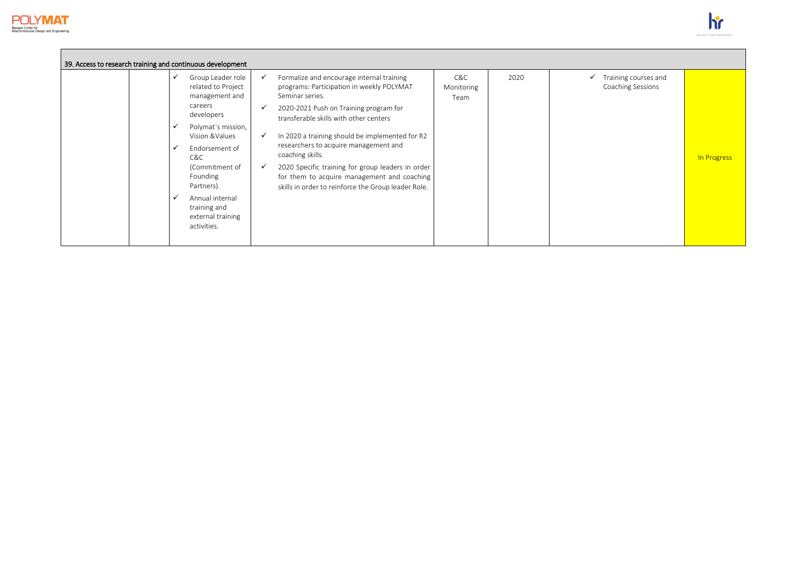



| 39. Access to research training and continuous development |  |                                                                                                                                                                                                                                                                         |                              |                                                                                                                                                                                                                                                                                                                                                                                                                                                                          |                           |      |                                           |             |
|------------------------------------------------------------|--|-------------------------------------------------------------------------------------------------------------------------------------------------------------------------------------------------------------------------------------------------------------------------|------------------------------|--------------------------------------------------------------------------------------------------------------------------------------------------------------------------------------------------------------------------------------------------------------------------------------------------------------------------------------------------------------------------------------------------------------------------------------------------------------------------|---------------------------|------|-------------------------------------------|-------------|
|                                                            |  | Group Leader role<br>related to Project<br>management and<br>careers<br>developers<br>Polymat's mission,<br>Vision & Values<br>Endorsement of<br>C&C<br>(Commitment of<br>Founding<br>Partners).<br>Annual internal<br>training and<br>external training<br>activities. | $\checkmark$<br>$\checkmark$ | Formalize and encourage internal training<br>programs: Participation in weekly POLYMAT<br>Seminar series.<br>2020-2021 Push on Training program for<br>transferable skills with other centers<br>In 2020 a training should be implemented for R2<br>researchers to acquire management and<br>coaching skills.<br>2020 Specific training for group leaders in order<br>for them to acquire management and coaching<br>skills in order to reinforce the Group leader Role. | C&C<br>Monitoring<br>Team | 2020 | Training courses and<br>Coaching Sessions | In Progress |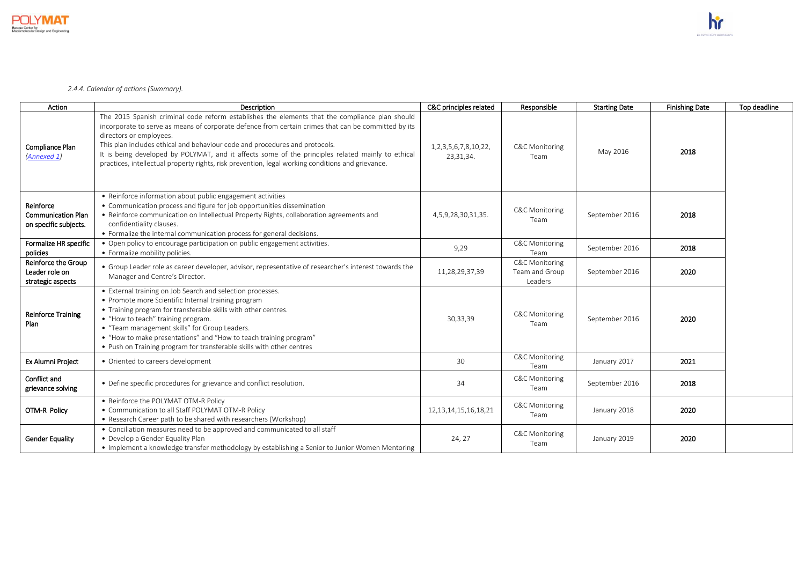

*2.4.4. Calendar of actions (Summary).*

| Action                                                          | Description                                                                                                                                                                                                                                                                                                                                                                                                                                                                                                               | C&C principles related                    | Responsible                                            | <b>Starting Date</b> | <b>Finishing Date</b> | Top deadline |
|-----------------------------------------------------------------|---------------------------------------------------------------------------------------------------------------------------------------------------------------------------------------------------------------------------------------------------------------------------------------------------------------------------------------------------------------------------------------------------------------------------------------------------------------------------------------------------------------------------|-------------------------------------------|--------------------------------------------------------|----------------------|-----------------------|--------------|
| Compliance Plan<br>(Annexed 1)                                  | The 2015 Spanish criminal code reform establishes the elements that the compliance plan should<br>incorporate to serve as means of corporate defence from certain crimes that can be committed by its<br>directors or employees.<br>This plan includes ethical and behaviour code and procedures and protocols.<br>It is being developed by POLYMAT, and it affects some of the principles related mainly to ethical<br>practices, intellectual property rights, risk prevention, legal working conditions and grievance. | 1, 2, 3, 5, 6, 7, 8, 10, 22,<br>23,31,34. | <b>C&amp;C Monitoring</b><br>Team                      | May 2016             | 2018                  |              |
| Reinforce<br><b>Communication Plan</b><br>on specific subjects. | • Reinforce information about public engagement activities<br>• Communication process and figure for job opportunities dissemination<br>• Reinforce communication on Intellectual Property Rights, collaboration agreements and<br>confidentiality clauses.<br>• Formalize the internal communication process for general decisions.                                                                                                                                                                                      | 4,5,9,28,30,31,35.                        | <b>C&amp;C Monitoring</b><br>Team                      | September 2016       | 2018                  |              |
| Formalize HR specific<br>policies                               | • Open policy to encourage participation on public engagement activities.<br>• Formalize mobility policies.                                                                                                                                                                                                                                                                                                                                                                                                               | 9,29                                      | <b>C&amp;C Monitoring</b><br>Team                      | September 2016       | 2018                  |              |
| Reinforce the Group<br>Leader role on<br>strategic aspects      | • Group Leader role as career developer, advisor, representative of researcher's interest towards the<br>Manager and Centre's Director.                                                                                                                                                                                                                                                                                                                                                                                   | 11,28,29,37,39                            | <b>C&amp;C Monitoring</b><br>Team and Group<br>Leaders | September 2016       | 2020                  |              |
| <b>Reinforce Training</b><br>Plan                               | • External training on Job Search and selection processes.<br>• Promote more Scientific Internal training program<br>• Training program for transferable skills with other centres.<br>• "How to teach" training program.<br>• "Team management skills" for Group Leaders.<br>• "How to make presentations" and "How to teach training program"<br>• Push on Training program for transferable skills with other centres                                                                                                  | 30,33,39                                  | <b>C&amp;C Monitoring</b><br>Team                      | September 2016       | 2020                  |              |
| <b>Ex Alumni Project</b>                                        | • Oriented to careers development                                                                                                                                                                                                                                                                                                                                                                                                                                                                                         | 30                                        | <b>C&amp;C Monitoring</b><br>Team                      | January 2017         | 2021                  |              |
| Conflict and<br>grievance solving                               | • Define specific procedures for grievance and conflict resolution.                                                                                                                                                                                                                                                                                                                                                                                                                                                       | 34                                        | <b>C&amp;C Monitoring</b><br>Team                      | September 2016       | 2018                  |              |
| OTM-R Policy                                                    | • Reinforce the POLYMAT OTM-R Policy<br>• Communication to all Staff POLYMAT OTM-R Policy<br>• Research Career path to be shared with researchers (Workshop)                                                                                                                                                                                                                                                                                                                                                              | 12, 13, 14, 15, 16, 18, 21                | <b>C&amp;C Monitoring</b><br>Team                      | January 2018         | 2020                  |              |
| <b>Gender Equality</b>                                          | • Conciliation measures need to be approved and communicated to all staff<br>• Develop a Gender Equality Plan<br>. Implement a knowledge transfer methodology by establishing a Senior to Junior Women Mentoring                                                                                                                                                                                                                                                                                                          | 24, 27                                    | <b>C&amp;C Monitoring</b><br>Team                      | January 2019         | 2020                  |              |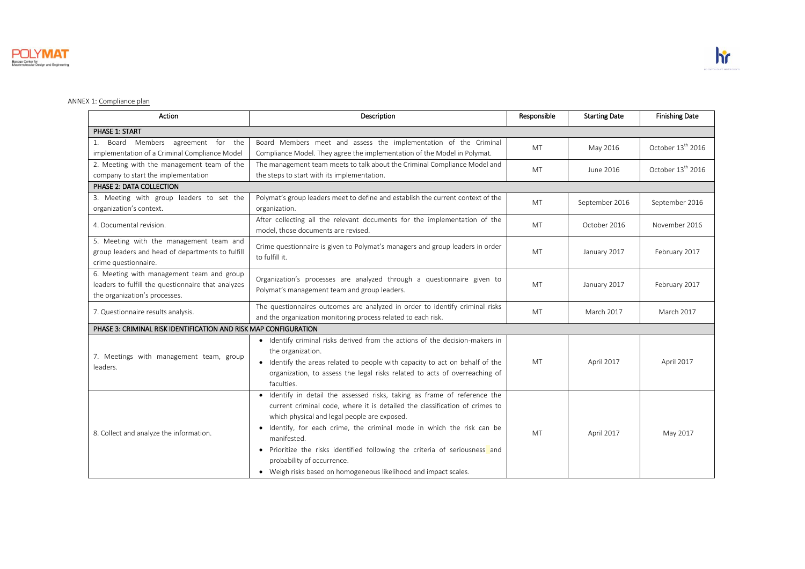

# <span id="page-26-0"></span>ANNEX 1: Compliance plan

| Action                                                                                                                           | Description                                                                                                                                                                                                                                                                                                                                                                                                                                                                        | Responsible | <b>Starting Date</b> | <b>Finishing Date</b>         |  |  |  |
|----------------------------------------------------------------------------------------------------------------------------------|------------------------------------------------------------------------------------------------------------------------------------------------------------------------------------------------------------------------------------------------------------------------------------------------------------------------------------------------------------------------------------------------------------------------------------------------------------------------------------|-------------|----------------------|-------------------------------|--|--|--|
| PHASE 1: START                                                                                                                   |                                                                                                                                                                                                                                                                                                                                                                                                                                                                                    |             |                      |                               |  |  |  |
| Members agreement for the<br>Board<br>1.<br>implementation of a Criminal Compliance Model                                        | Board Members meet and assess the implementation of the Criminal<br>Compliance Model. They agree the implementation of the Model in Polymat.                                                                                                                                                                                                                                                                                                                                       | <b>MT</b>   | May 2016             | October 13 <sup>th</sup> 2016 |  |  |  |
| 2. Meeting with the management team of the<br>company to start the implementation                                                | The management team meets to talk about the Criminal Compliance Model and<br>the steps to start with its implementation.                                                                                                                                                                                                                                                                                                                                                           | <b>MT</b>   | June 2016            | October 13 <sup>th</sup> 2016 |  |  |  |
| PHASE 2: DATA COLLECTION                                                                                                         |                                                                                                                                                                                                                                                                                                                                                                                                                                                                                    |             |                      |                               |  |  |  |
| 3. Meeting with group leaders to set the<br>organization's context.                                                              | Polymat's group leaders meet to define and establish the current context of the<br>organization.                                                                                                                                                                                                                                                                                                                                                                                   | MT          | September 2016       | September 2016                |  |  |  |
| 4. Documental revision.                                                                                                          | After collecting all the relevant documents for the implementation of the<br>model, those documents are revised.                                                                                                                                                                                                                                                                                                                                                                   | <b>MT</b>   | October 2016         | November 2016                 |  |  |  |
| 5. Meeting with the management team and<br>group leaders and head of departments to fulfill<br>crime questionnaire.              | Crime questionnaire is given to Polymat's managers and group leaders in order<br>to fulfill it.                                                                                                                                                                                                                                                                                                                                                                                    | MT          | January 2017         | February 2017                 |  |  |  |
| 6. Meeting with management team and group<br>leaders to fulfill the questionnaire that analyzes<br>the organization's processes. | Organization's processes are analyzed through a questionnaire given to<br>Polymat's management team and group leaders.                                                                                                                                                                                                                                                                                                                                                             | <b>MT</b>   | January 2017         | February 2017                 |  |  |  |
| 7. Questionnaire results analysis.                                                                                               | The questionnaires outcomes are analyzed in order to identify criminal risks<br>and the organization monitoring process related to each risk.                                                                                                                                                                                                                                                                                                                                      | MT          | March 2017           | March 2017                    |  |  |  |
| PHASE 3: CRIMINAL RISK IDENTIFICATION AND RISK MAP CONFIGURATION                                                                 |                                                                                                                                                                                                                                                                                                                                                                                                                                                                                    |             |                      |                               |  |  |  |
| 7. Meetings with management team, group<br>leaders.                                                                              | • Identify criminal risks derived from the actions of the decision-makers in<br>the organization.<br>• Identify the areas related to people with capacity to act on behalf of the<br>organization, to assess the legal risks related to acts of overreaching of<br>faculties.                                                                                                                                                                                                      | MT          | April 2017           | April 2017                    |  |  |  |
| 8. Collect and analyze the information.                                                                                          | · Identify in detail the assessed risks, taking as frame of reference the<br>current criminal code, where it is detailed the classification of crimes to<br>which physical and legal people are exposed.<br>• Identify, for each crime, the criminal mode in which the risk can be<br>manifested.<br>• Prioritize the risks identified following the criteria of seriousness and<br>probability of occurrence.<br>• Weigh risks based on homogeneous likelihood and impact scales. | <b>MT</b>   | April 2017           | May 2017                      |  |  |  |